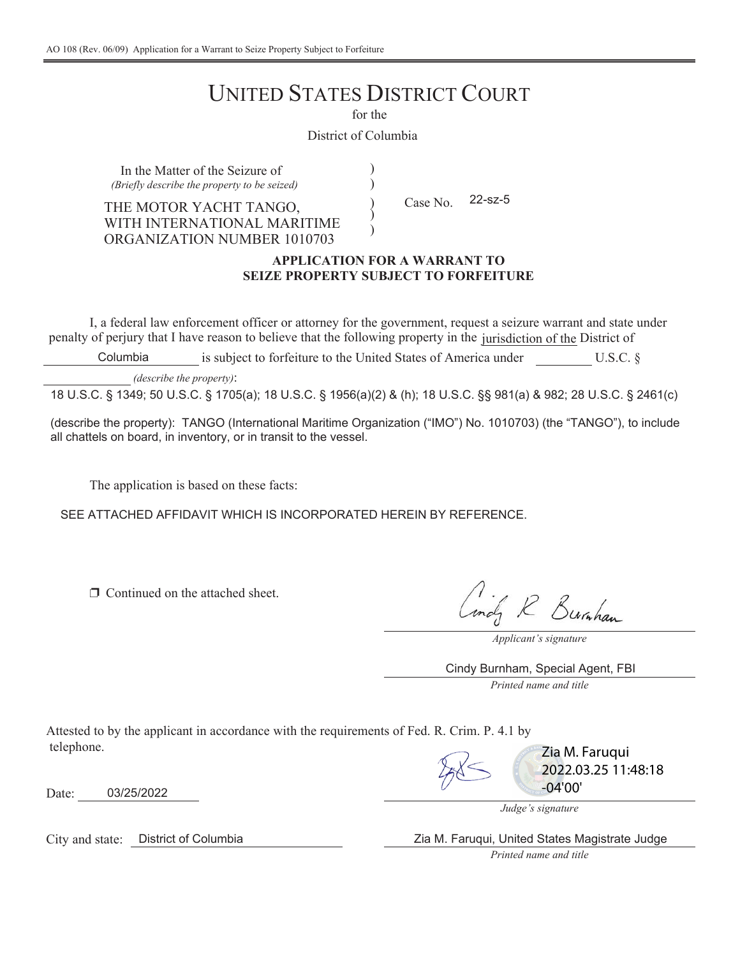# UNITED STATES DISTRICT COURT

for the

) )

> ) )

 $\mathcal{)}$ 

District of Columbia

In the Matter of the Seizure of *(Briefly describe the property to be seized)*

THE MOTOR YACHT TANGO, and  $\angle$  Case No. WITH INTERNATIONAL MARITIME ORGANIZATION NUMBER 1010703

22-sz-5

## **APPLICATION FOR A WARRANT TO SEIZE PROPERTY SUBJECT TO FORFEITURE**

I, a federal law enforcement officer or attorney for the government, request a seizure warrant and state under penalty of perjury that I have reason to believe that the following property in the jurisdiction of the District of

is subject to forfeiture to the United States of America under U.S.C. § Columbia

*(describe the property)*:

18 U.S.C. § 1349; 50 U.S.C. § 1705(a); 18 U.S.C. § 1956(a)(2) & (h); 18 U.S.C. §§ 981(a) & 982; 28 U.S.C. § 2461(c)

(describe the property): TANGO (International Maritime Organization ("IMO") No. 1010703) (the "TANGO"), to include all chattels on board, in inventory, or in transit to the vessel.

The application is based on these facts:

SEE ATTACHED AFFIDAVIT WHICH IS INCORPORATED HEREIN BY REFERENCE.

 $\Box$  Continued on the attached sheet.

Lindy R Burnham

*Applicant's signature*

*Printed name and title* Cindy Burnham, Special Agent, FBI

Attested to by the applicant in accordance with the requirements of Fed. R. Crim. P. 4.1 by telephone.



Zia M. Faruqui 2022.03.25 11:48:18 -04'00'

*Judge's signature*

Zia M. Faruqui, United States Magistrate Judge

*Printed name and title*

Date: 03/25/2022

City and state: District of Columbia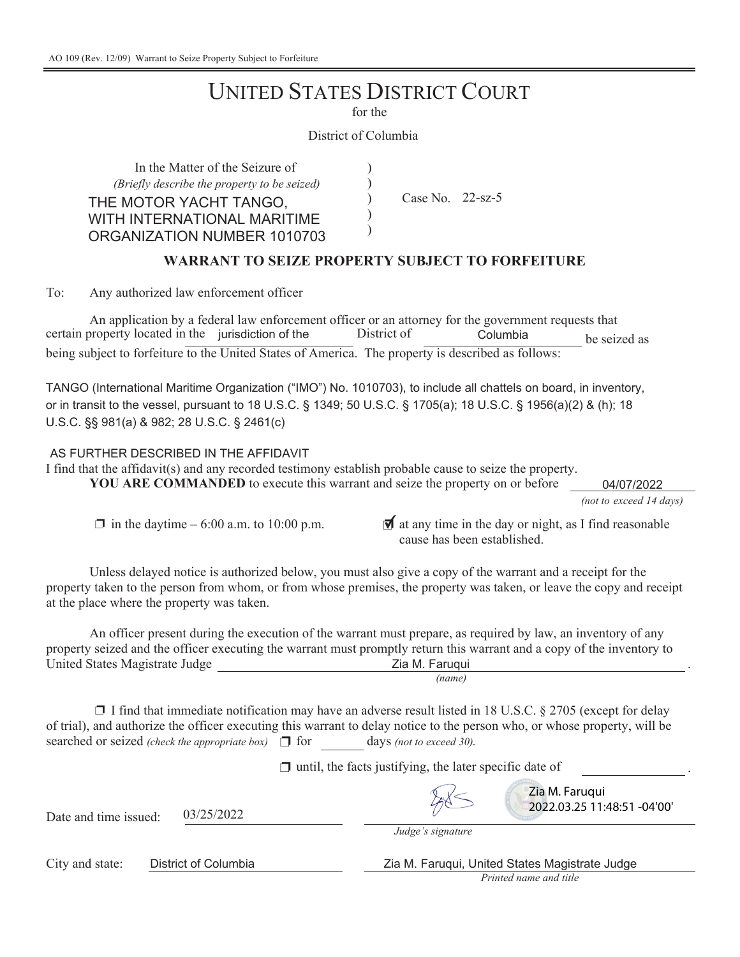## **UNITED STATES DISTRICT COURT**

for the

 $\mathcal{E}$  $\mathcal{E}$  $\mathcal{E}$  $\mathcal{E}$  $\mathcal{E}$ 

 $\lambda$ 

 $\big)$  $\mathcal{E}$  $\lambda$ 

District of Columbia

In the Matter of the Seizure of *(Briefly describe the property to be seized)* THE MOTOR YACHT TANGO. WITH INTERNATIONAL MARITIME ORGANIZATION NUMBER 1010703

Case No.  $22$ -sz-5

## **WARRANT TO SEIZE PROPERTY SUBJECT TO FORFEITURE**

To: Any authorized law enforcement officer

An application by a federal law enforcement officer or an attorney for the government requests that EXTREM FRUM FOR THE SERVICE THE UNION OF SERVICE THE UNION TO SERVICE THE SERVICE THE SERVICE THE SERVICE THE SERVICE THE SERVICE THE SERVICE THE SERVICE THE SERVICE THE SERVICE THE SERVICE THE SERVICE THE SERVICE THE SERV being subject to forfeiture to the United States of America. The property is described as follows:

TANGO (International Maritime Organization ("IMO") No. 1010703), to include all chattels on board, in inventory, or in transit to the vessel, pursuant to 18 U.S.C. § 1349; 50 U.S.C. § 1705(a); 18 U.S.C. § 1956(a)(2) & (h); 18  $U.S.C.$  §§ 981(a) & 982; 28 U.S.C. § 2461(c)

AS FURTHER DESCRIBED IN THE AFFIDAVIT

I find that the affidavit(s) and any recorded testimony establish probable cause to seize the property.

**YOU ARE COMMANDED** to execute this warrant and seize the property on or before

*(not to exceed 14 days)* 04/07/2022

 $\ddot{\phantom{0}}$ 

 $\Box$  in the daytime – 6:00 a.m. to 10:00 p.m.  $\Box$  at any time in the day or night, as I find reasonable cause has been established

Unless delayed notice is authorized below, you must also give a copy of the warrant and a receipt for the property taken to the person from whom, or from whose premises, the property was taken, or leave the copy and receipt at the place where the property was taken.

*(name)* An officer present during the execution of the warrant must prepare, as required by law, an inventory of any property seized and the officer executing the warrant must promptly return this warrant and a copy of the inventory to United States Magistrate Judge = The States Magistrate Dudge = The States 2ia M. Faruqui

 $\Box$  I find that immediate notification may have an adverse result listed in 18 U.S.C. § 2705 (except for delay of trial), and authorize the officer executing this warrant to delay notice to the person who, or whose property, will be searched or seized *(check the appropriate box)*  $\Box$  for days *(not to exceed 30).* 

 $\Box$  until, the facts justifying, the later specific date of

 $3/25/2022$ 

*Judge's signature*

City and state: District of Columbia Zia M. Faruqui, United States Magistrate Judge

*Printed name and title*

Zia M. Faruqui

2022.03.25 11:48:51 -04'00'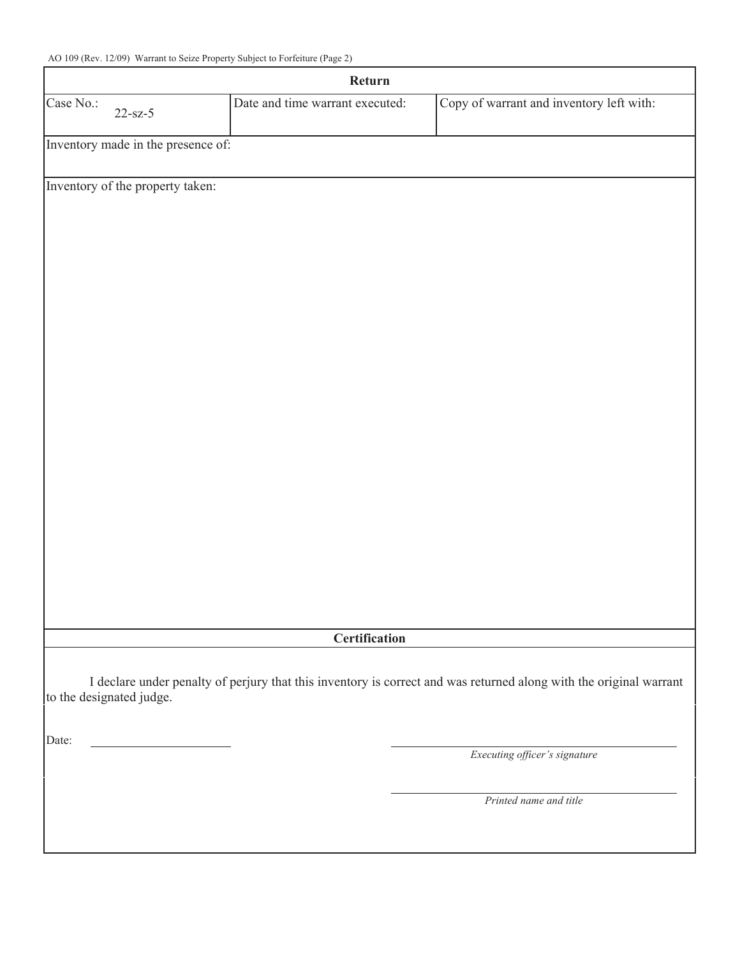| Return    |                                    |                                 |                                                                                                                    |
|-----------|------------------------------------|---------------------------------|--------------------------------------------------------------------------------------------------------------------|
| Case No.: | $22 - sz-5$                        | Date and time warrant executed: | Copy of warrant and inventory left with:                                                                           |
|           | Inventory made in the presence of: |                                 |                                                                                                                    |
|           | Inventory of the property taken:   |                                 |                                                                                                                    |
|           |                                    |                                 |                                                                                                                    |
|           |                                    |                                 |                                                                                                                    |
|           |                                    |                                 |                                                                                                                    |
|           |                                    |                                 |                                                                                                                    |
|           |                                    |                                 |                                                                                                                    |
|           |                                    |                                 |                                                                                                                    |
|           |                                    |                                 |                                                                                                                    |
|           |                                    |                                 |                                                                                                                    |
|           |                                    |                                 |                                                                                                                    |
|           |                                    |                                 |                                                                                                                    |
|           |                                    |                                 |                                                                                                                    |
|           |                                    |                                 |                                                                                                                    |
|           |                                    |                                 |                                                                                                                    |
|           |                                    |                                 |                                                                                                                    |
|           |                                    |                                 |                                                                                                                    |
|           |                                    |                                 |                                                                                                                    |
|           |                                    | Certification                   |                                                                                                                    |
|           | to the designated judge.           |                                 | I declare under penalty of perjury that this inventory is correct and was returned along with the original warrant |
|           |                                    |                                 |                                                                                                                    |
| Date:     |                                    |                                 | Executing officer's signature                                                                                      |
|           |                                    |                                 | Printed name and title                                                                                             |
|           |                                    |                                 |                                                                                                                    |
|           |                                    |                                 |                                                                                                                    |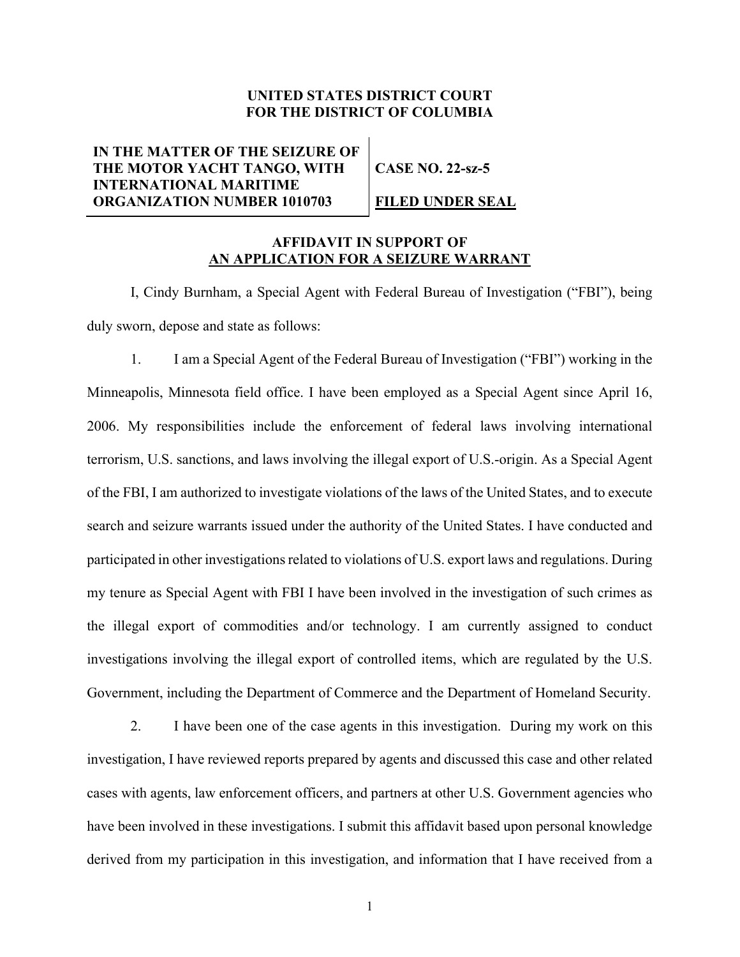## **UNITED STATES DISTRICT COURT FOR THE DISTRICT OF COLUMBIA**

**IN THE MATTER OF THE SEIZURE OF THE MOTOR YACHT TANGO, WITH INTERNATIONAL MARITIME ORGANIZATION NUMBER 1010703**

**CASE NO. 22-sz-5**

## **FILED UNDER SEAL**

## **AFFIDAVIT IN SUPPORT OF AN APPLICATION FOR A SEIZURE WARRANT**

I, Cindy Burnham, a Special Agent with Federal Bureau of Investigation ("FBI"), being duly sworn, depose and state as follows:

1. I am a Special Agent of the Federal Bureau of Investigation ("FBI") working in the Minneapolis, Minnesota field office. I have been employed as a Special Agent since April 16, 2006. My responsibilities include the enforcement of federal laws involving international terrorism, U.S. sanctions, and laws involving the illegal export of U.S.-origin. As a Special Agent of the FBI, I am authorized to investigate violations of the laws of the United States, and to execute search and seizure warrants issued under the authority of the United States. I have conducted and participated in other investigations related to violations of U.S. export laws and regulations. During my tenure as Special Agent with FBI I have been involved in the investigation of such crimes as the illegal export of commodities and/or technology. I am currently assigned to conduct investigations involving the illegal export of controlled items, which are regulated by the U.S. Government, including the Department of Commerce and the Department of Homeland Security.

2. I have been one of the case agents in this investigation. During my work on this investigation, I have reviewed reports prepared by agents and discussed this case and other related cases with agents, law enforcement officers, and partners at other U.S. Government agencies who have been involved in these investigations. I submit this affidavit based upon personal knowledge derived from my participation in this investigation, and information that I have received from a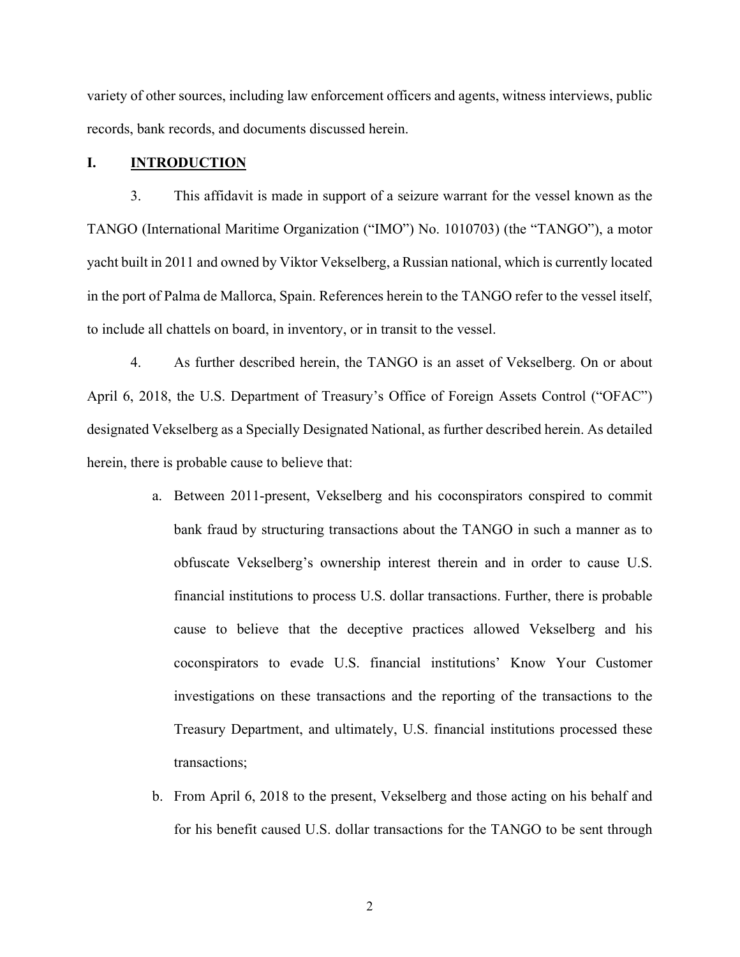variety of other sources, including law enforcement officers and agents, witness interviews, public records, bank records, and documents discussed herein.

#### **I. INTRODUCTION**

3. This affidavit is made in support of a seizure warrant for the vessel known as the TANGO (International Maritime Organization ("IMO") No. 1010703) (the "TANGO"), a motor yacht built in 2011 and owned by Viktor Vekselberg, a Russian national, which is currently located in the port of Palma de Mallorca, Spain. References herein to the TANGO refer to the vessel itself, to include all chattels on board, in inventory, or in transit to the vessel.

4. As further described herein, the TANGO is an asset of Vekselberg. On or about April 6, 2018, the U.S. Department of Treasury's Office of Foreign Assets Control ("OFAC") designated Vekselberg as a Specially Designated National, as further described herein. As detailed herein, there is probable cause to believe that:

- a. Between 2011-present, Vekselberg and his coconspirators conspired to commit bank fraud by structuring transactions about the TANGO in such a manner as to obfuscate Vekselberg's ownership interest therein and in order to cause U.S. financial institutions to process U.S. dollar transactions. Further, there is probable cause to believe that the deceptive practices allowed Vekselberg and his coconspirators to evade U.S. financial institutions' Know Your Customer investigations on these transactions and the reporting of the transactions to the Treasury Department, and ultimately, U.S. financial institutions processed these transactions;
- b. From April 6, 2018 to the present, Vekselberg and those acting on his behalf and for his benefit caused U.S. dollar transactions for the TANGO to be sent through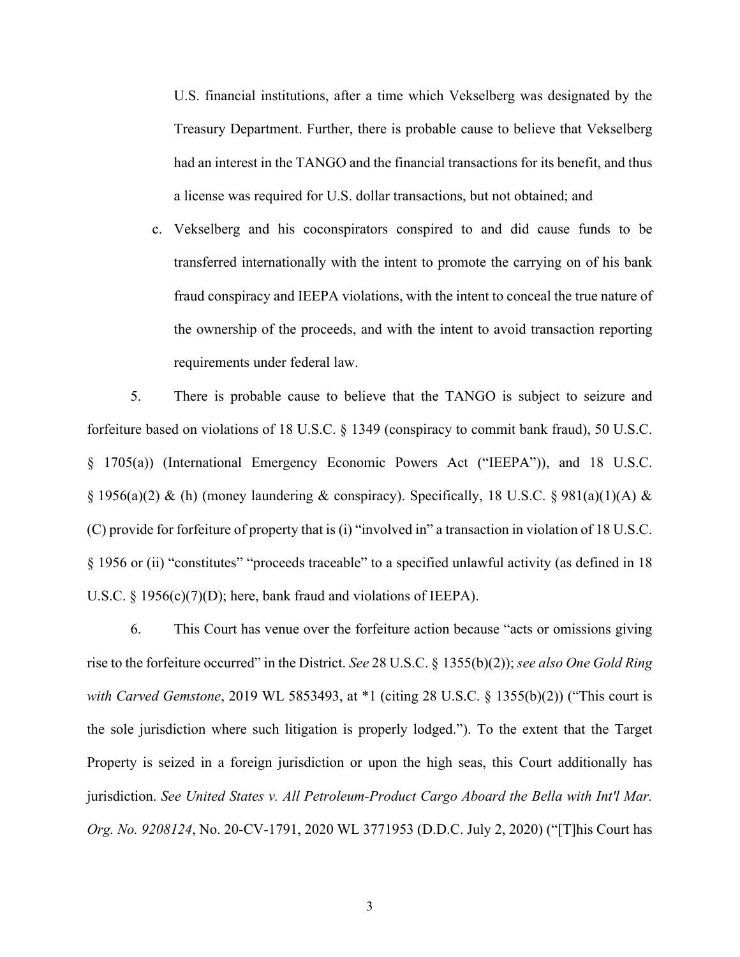U.S. financial institutions, after a time which Vekselberg was designated by the Treasury Department. Further, there is probable cause to believe that Vekselberg had an interest in the TANGO and the financial transactions for its benefit, and thus a license was required for U.S. dollar transactions, but not obtained; and

c. Vekselberg and his coconspirators conspired to and did cause funds to be transferred internationally with the intent to promote the carrying on of his bank fraud conspiracy and IEEPA violations, with the intent to conceal the true nature of the ownership of the proceeds, and with the intent to avoid transaction reporting requirements under federal law.

5. There is probable cause to believe that the TANGO is subject to seizure and forfeiture based on violations of 18 U.S.C. § 1349 (conspiracy to commit bank fraud), 50 U.S.C. § 1705(a)) (International Emergency Economic Powers Act ("IEEPA")), and 18 U.S.C.  $\S$  1956(a)(2) & (h) (money laundering & conspiracy). Specifically, 18 U.S.C.  $\S$  981(a)(1)(A) & (C) provide for forfeiture of property that is (i) "involved in" a transaction in violation of 18 U.S.C. § 1956 or (ii) "constitutes" "proceeds traceable" to a specified unlawful activity (as defined in 18 U.S.C.  $\S$  1956(c)(7)(D); here, bank fraud and violations of IEEPA).

6. This Court has venue over the forfeiture action because "acts or omissions giving rise to the forfeiture occurred" in the District. *See* 28 U.S.C. § 1355(b)(2)); *see also One Gold Ring with Carved Gemstone*, 2019 WL 5853493, at \*1 (citing 28 U.S.C. § 1355(b)(2)) ("This court is the sole jurisdiction where such litigation is properly lodged."). To the extent that the Target Property is seized in a foreign jurisdiction or upon the high seas, this Court additionally has jurisdiction. *See United States v. All Petroleum-Product Cargo Aboard the Bella with Int'l Mar. Org. No. 9208124*, No. 20-CV-1791, 2020 WL 3771953 (D.D.C. July 2, 2020) ("[T]his Court has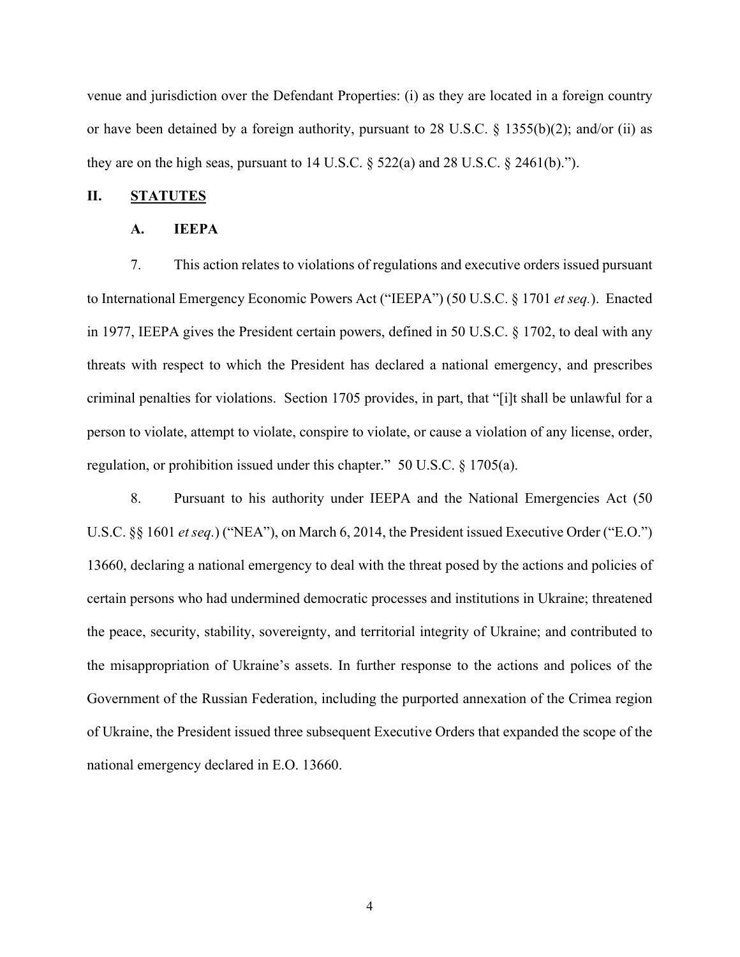venue and jurisdiction over the Defendant Properties: (i) as they are located in a foreign country or have been detained by a foreign authority, pursuant to 28 U.S.C.  $\S$  1355(b)(2); and/or (ii) as they are on the high seas, pursuant to  $14$  U.S.C.  $\S$  522(a) and 28 U.S.C.  $\S$  2461(b).").

## **II. STATUTES**

#### **A. IEEPA**

7. This action relates to violations of regulations and executive orders issued pursuant to International Emergency Economic Powers Act ("IEEPA") (50 U.S.C. § 1701 *et seq.*). Enacted in 1977, IEEPA gives the President certain powers, defined in 50 U.S.C. § 1702, to deal with any threats with respect to which the President has declared a national emergency, and prescribes criminal penalties for violations. Section 1705 provides, in part, that "[i]t shall be unlawful for a person to violate, attempt to violate, conspire to violate, or cause a violation of any license, order, regulation, or prohibition issued under this chapter." 50 U.S.C. § 1705(a).

8. Pursuant to his authority under IEEPA and the National Emergencies Act (50 U.S.C. §§ 1601 *et seq.*) ("NEA"), on March 6, 2014, the President issued Executive Order ("E.O.") 13660, declaring a national emergency to deal with the threat posed by the actions and policies of certain persons who had undermined democratic processes and institutions in Ukraine; threatened the peace, security, stability, sovereignty, and territorial integrity of Ukraine; and contributed to the misappropriation of Ukraine's assets. In further response to the actions and polices of the Government of the Russian Federation, including the purported annexation of the Crimea region of Ukraine, the President issued three subsequent Executive Orders that expanded the scope of the national emergency declared in E.O. 13660.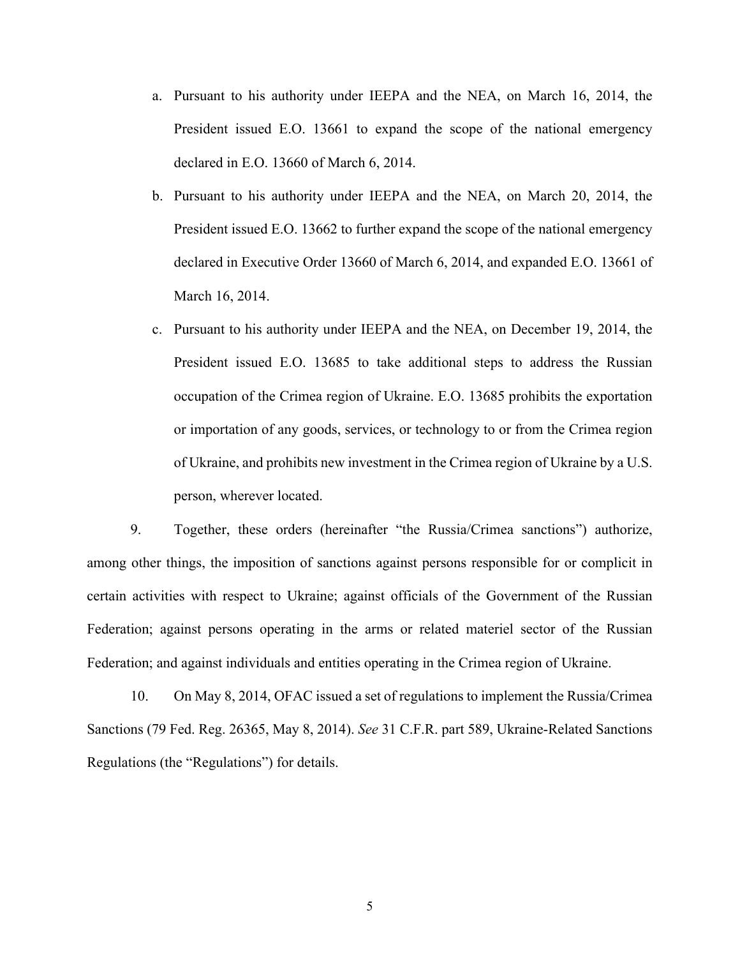- a. Pursuant to his authority under IEEPA and the NEA, on March 16, 2014, the President issued E.O. 13661 to expand the scope of the national emergency declared in E.O. 13660 of March 6, 2014.
- b. Pursuant to his authority under IEEPA and the NEA, on March 20, 2014, the President issued E.O. 13662 to further expand the scope of the national emergency declared in Executive Order 13660 of March 6, 2014, and expanded E.O. 13661 of March 16, 2014.
- c. Pursuant to his authority under IEEPA and the NEA, on December 19, 2014, the President issued E.O. 13685 to take additional steps to address the Russian occupation of the Crimea region of Ukraine. E.O. 13685 prohibits the exportation or importation of any goods, services, or technology to or from the Crimea region of Ukraine, and prohibits new investment in the Crimea region of Ukraine by a U.S. person, wherever located.

9. Together, these orders (hereinafter "the Russia/Crimea sanctions") authorize, among other things, the imposition of sanctions against persons responsible for or complicit in certain activities with respect to Ukraine; against officials of the Government of the Russian Federation; against persons operating in the arms or related materiel sector of the Russian Federation; and against individuals and entities operating in the Crimea region of Ukraine.

10. On May 8, 2014, OFAC issued a set of regulations to implement the Russia/Crimea Sanctions (79 Fed. Reg. 26365, May 8, 2014). *See* 31 C.F.R. part 589, Ukraine-Related Sanctions Regulations (the "Regulations") for details.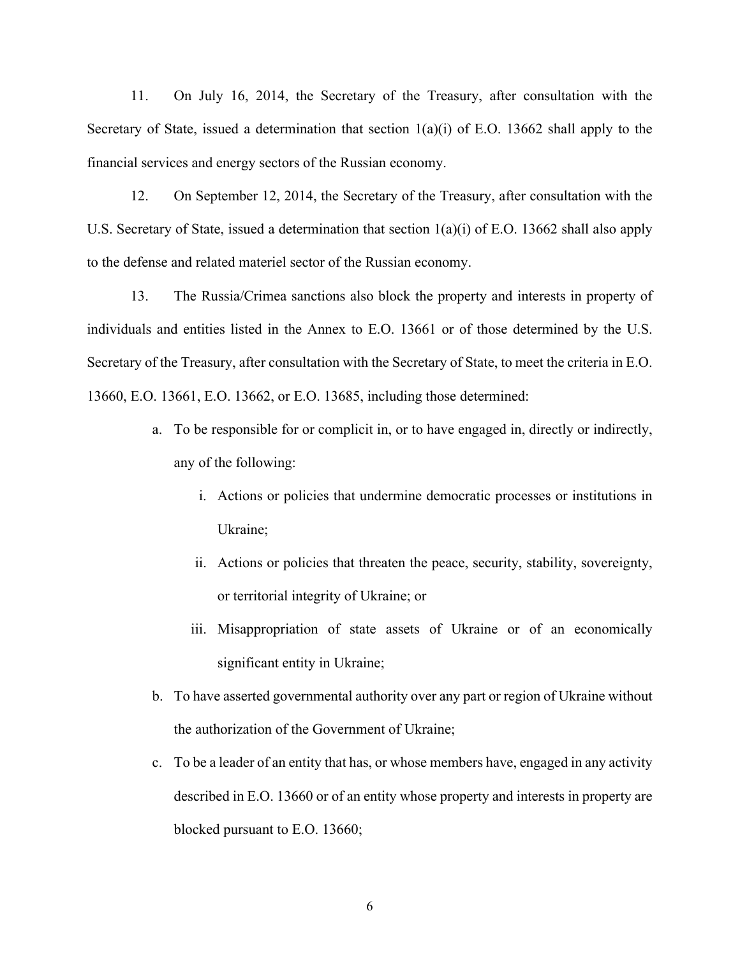11. On July 16, 2014, the Secretary of the Treasury, after consultation with the Secretary of State, issued a determination that section  $1(a)(i)$  of E.O. 13662 shall apply to the financial services and energy sectors of the Russian economy.

12. On September 12, 2014, the Secretary of the Treasury, after consultation with the U.S. Secretary of State, issued a determination that section  $1(a)(i)$  of E.O. 13662 shall also apply to the defense and related materiel sector of the Russian economy.

13. The Russia/Crimea sanctions also block the property and interests in property of individuals and entities listed in the Annex to E.O. 13661 or of those determined by the U.S. Secretary of the Treasury, after consultation with the Secretary of State, to meet the criteria in E.O. 13660, E.O. 13661, E.O. 13662, or E.O. 13685, including those determined:

- a. To be responsible for or complicit in, or to have engaged in, directly or indirectly, any of the following:
	- i. Actions or policies that undermine democratic processes or institutions in Ukraine;
	- ii. Actions or policies that threaten the peace, security, stability, sovereignty, or territorial integrity of Ukraine; or
	- iii. Misappropriation of state assets of Ukraine or of an economically significant entity in Ukraine;
- b. To have asserted governmental authority over any part or region of Ukraine without the authorization of the Government of Ukraine;
- c. To be a leader of an entity that has, or whose members have, engaged in any activity described in E.O. 13660 or of an entity whose property and interests in property are blocked pursuant to E.O. 13660;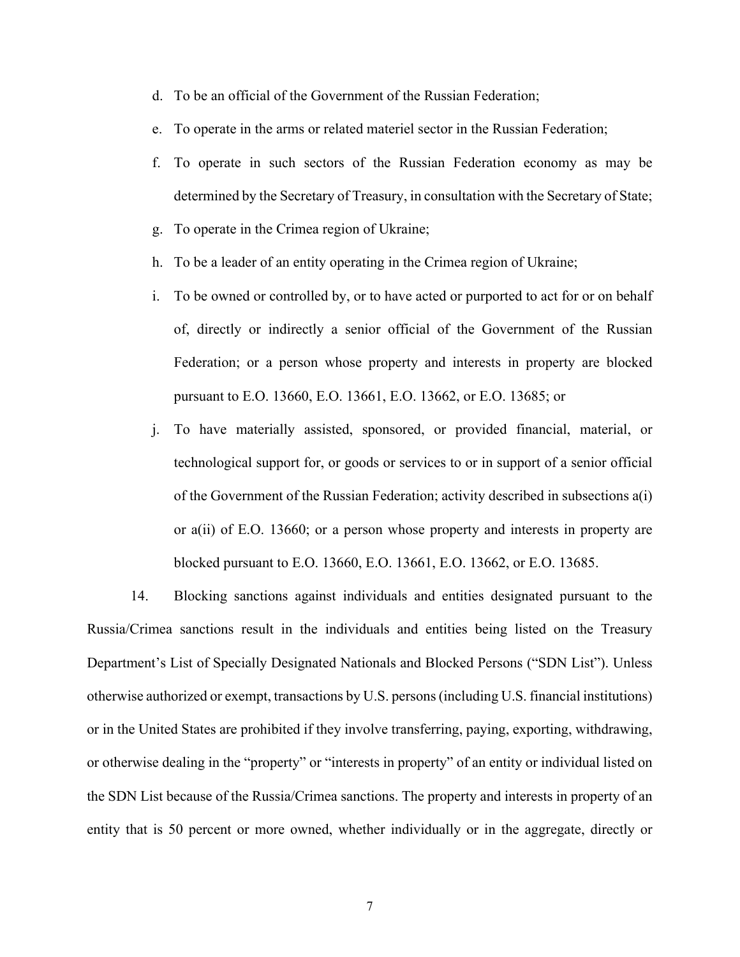- d. To be an official of the Government of the Russian Federation;
- e. To operate in the arms or related materiel sector in the Russian Federation;
- f. To operate in such sectors of the Russian Federation economy as may be determined by the Secretary of Treasury, in consultation with the Secretary of State;
- g. To operate in the Crimea region of Ukraine;
- h. To be a leader of an entity operating in the Crimea region of Ukraine;
- i. To be owned or controlled by, or to have acted or purported to act for or on behalf of, directly or indirectly a senior official of the Government of the Russian Federation; or a person whose property and interests in property are blocked pursuant to E.O. 13660, E.O. 13661, E.O. 13662, or E.O. 13685; or
- j. To have materially assisted, sponsored, or provided financial, material, or technological support for, or goods or services to or in support of a senior official of the Government of the Russian Federation; activity described in subsections a(i) or a(ii) of E.O. 13660; or a person whose property and interests in property are blocked pursuant to E.O. 13660, E.O. 13661, E.O. 13662, or E.O. 13685.

14. Blocking sanctions against individuals and entities designated pursuant to the Russia/Crimea sanctions result in the individuals and entities being listed on the Treasury Department's List of Specially Designated Nationals and Blocked Persons ("SDN List"). Unless otherwise authorized or exempt, transactions by U.S. persons (including U.S. financial institutions) or in the United States are prohibited if they involve transferring, paying, exporting, withdrawing, or otherwise dealing in the "property" or "interests in property" of an entity or individual listed on the SDN List because of the Russia/Crimea sanctions. The property and interests in property of an entity that is 50 percent or more owned, whether individually or in the aggregate, directly or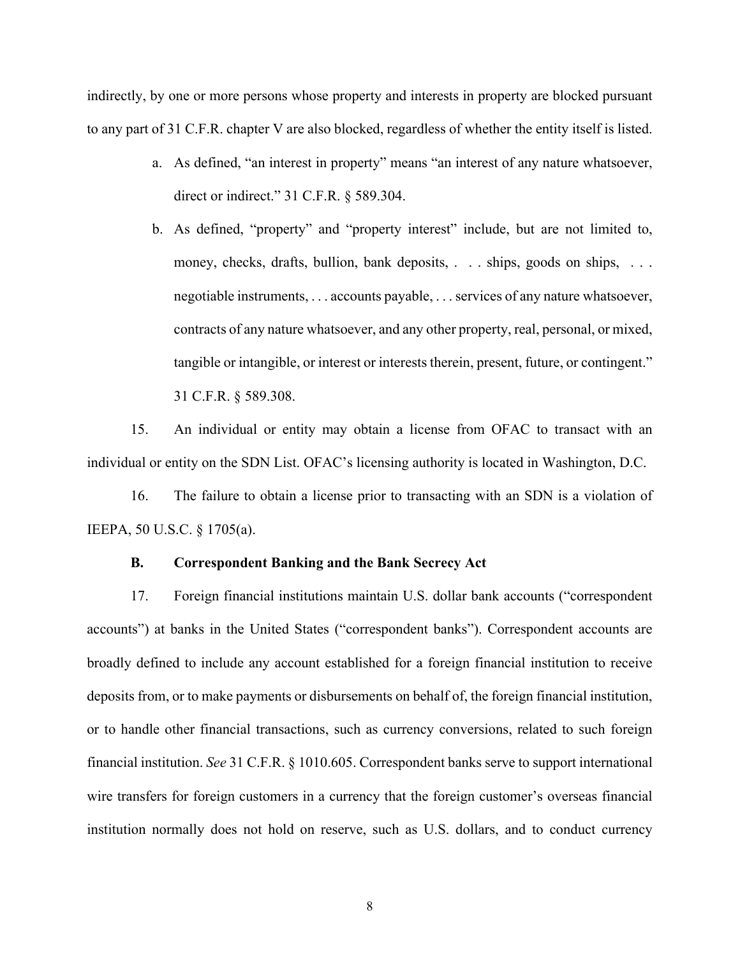indirectly, by one or more persons whose property and interests in property are blocked pursuant to any part of 31 C.F.R. chapter V are also blocked, regardless of whether the entity itself is listed.

- a. As defined, "an interest in property" means "an interest of any nature whatsoever, direct or indirect." 31 C.F.R. § 589.304.
- b. As defined, "property" and "property interest" include, but are not limited to, money, checks, drafts, bullion, bank deposits, . . . ships, goods on ships, . . . negotiable instruments, . . . accounts payable, . . . services of any nature whatsoever, contracts of any nature whatsoever, and any other property, real, personal, or mixed, tangible or intangible, or interest or interests therein, present, future, or contingent." 31 C.F.R. § 589.308.

15. An individual or entity may obtain a license from OFAC to transact with an individual or entity on the SDN List. OFAC's licensing authority is located in Washington, D.C.

16. The failure to obtain a license prior to transacting with an SDN is a violation of IEEPA, 50 U.S.C. § 1705(a).

### **B. Correspondent Banking and the Bank Secrecy Act**

17. Foreign financial institutions maintain U.S. dollar bank accounts ("correspondent accounts") at banks in the United States ("correspondent banks"). Correspondent accounts are broadly defined to include any account established for a foreign financial institution to receive deposits from, or to make payments or disbursements on behalf of, the foreign financial institution, or to handle other financial transactions, such as currency conversions, related to such foreign financial institution. *See* 31 C.F.R. § 1010.605. Correspondent banks serve to support international wire transfers for foreign customers in a currency that the foreign customer's overseas financial institution normally does not hold on reserve, such as U.S. dollars, and to conduct currency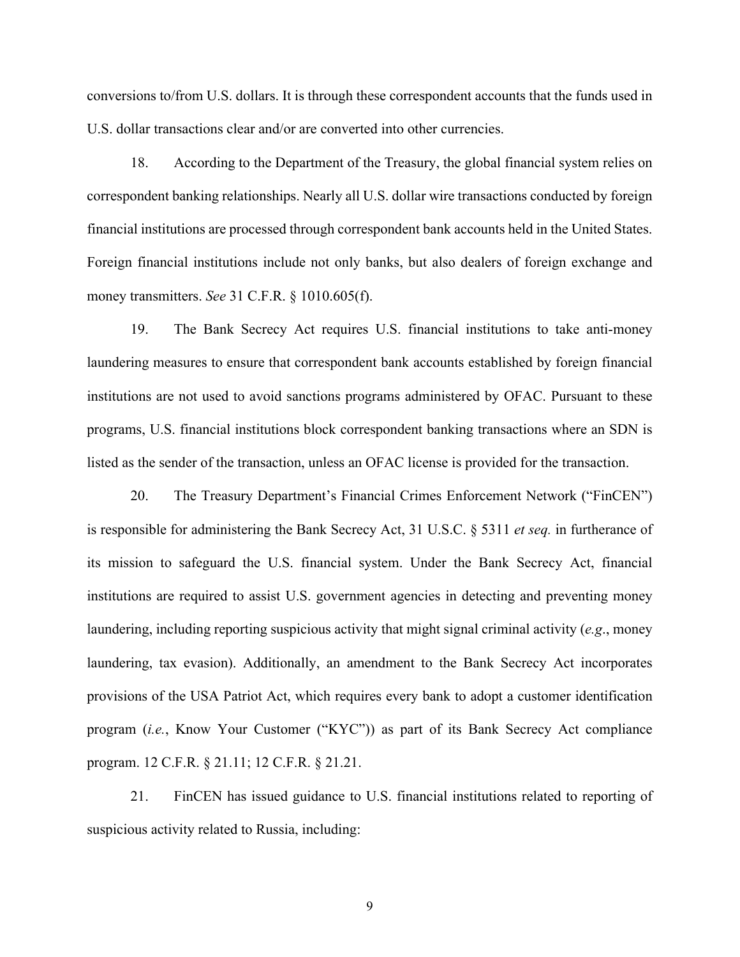conversions to/from U.S. dollars. It is through these correspondent accounts that the funds used in U.S. dollar transactions clear and/or are converted into other currencies.

18. According to the Department of the Treasury, the global financial system relies on correspondent banking relationships. Nearly all U.S. dollar wire transactions conducted by foreign financial institutions are processed through correspondent bank accounts held in the United States. Foreign financial institutions include not only banks, but also dealers of foreign exchange and money transmitters. *See* 31 C.F.R. § 1010.605(f).

19. The Bank Secrecy Act requires U.S. financial institutions to take anti-money laundering measures to ensure that correspondent bank accounts established by foreign financial institutions are not used to avoid sanctions programs administered by OFAC. Pursuant to these programs, U.S. financial institutions block correspondent banking transactions where an SDN is listed as the sender of the transaction, unless an OFAC license is provided for the transaction.

20. The Treasury Department's Financial Crimes Enforcement Network ("FinCEN") is responsible for administering the Bank Secrecy Act, 31 U.S.C. § 5311 *et seq.* in furtherance of its mission to safeguard the U.S. financial system. Under the Bank Secrecy Act, financial institutions are required to assist U.S. government agencies in detecting and preventing money laundering, including reporting suspicious activity that might signal criminal activity (*e.g*., money laundering, tax evasion). Additionally, an amendment to the Bank Secrecy Act incorporates provisions of the USA Patriot Act, which requires every bank to adopt a customer identification program (*i.e.*, Know Your Customer ("KYC")) as part of its Bank Secrecy Act compliance program. 12 C.F.R. § 21.11; 12 C.F.R. § 21.21.

21. FinCEN has issued guidance to U.S. financial institutions related to reporting of suspicious activity related to Russia, including: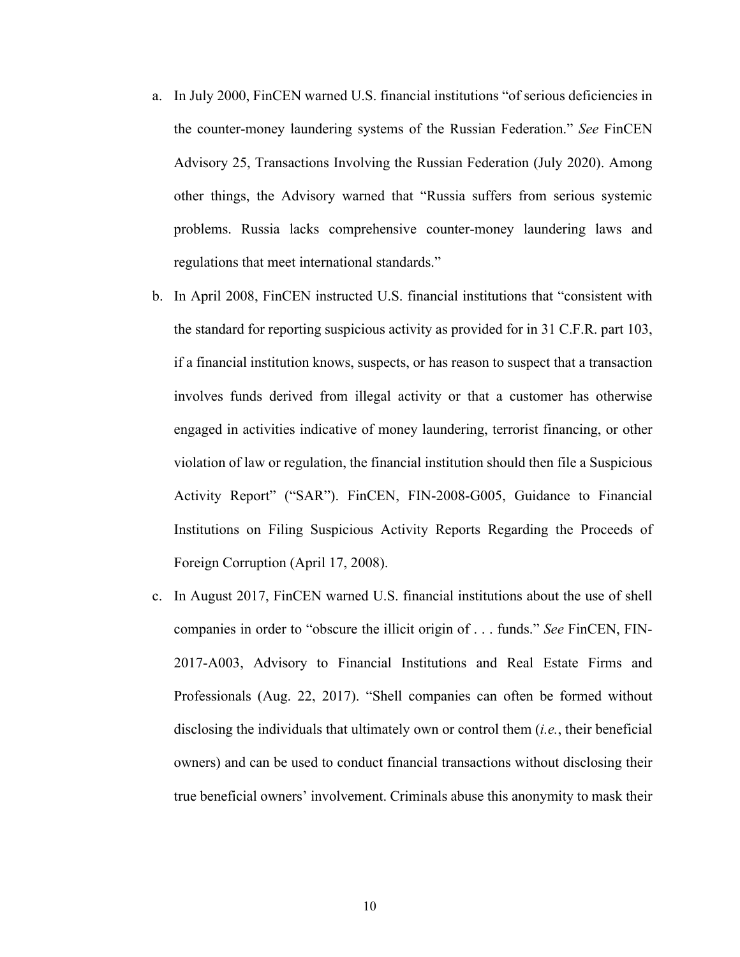- a. In July 2000, FinCEN warned U.S. financial institutions "of serious deficiencies in the counter-money laundering systems of the Russian Federation." *See* FinCEN Advisory 25, Transactions Involving the Russian Federation (July 2020). Among other things, the Advisory warned that "Russia suffers from serious systemic problems. Russia lacks comprehensive counter-money laundering laws and regulations that meet international standards."
- b. In April 2008, FinCEN instructed U.S. financial institutions that "consistent with the standard for reporting suspicious activity as provided for in 31 C.F.R. part 103, if a financial institution knows, suspects, or has reason to suspect that a transaction involves funds derived from illegal activity or that a customer has otherwise engaged in activities indicative of money laundering, terrorist financing, or other violation of law or regulation, the financial institution should then file a Suspicious Activity Report" ("SAR"). FinCEN, FIN-2008-G005, Guidance to Financial Institutions on Filing Suspicious Activity Reports Regarding the Proceeds of Foreign Corruption (April 17, 2008).
- c. In August 2017, FinCEN warned U.S. financial institutions about the use of shell companies in order to "obscure the illicit origin of . . . funds." *See* FinCEN, FIN-2017-A003, Advisory to Financial Institutions and Real Estate Firms and Professionals (Aug. 22, 2017). "Shell companies can often be formed without disclosing the individuals that ultimately own or control them (*i.e.*, their beneficial owners) and can be used to conduct financial transactions without disclosing their true beneficial owners' involvement. Criminals abuse this anonymity to mask their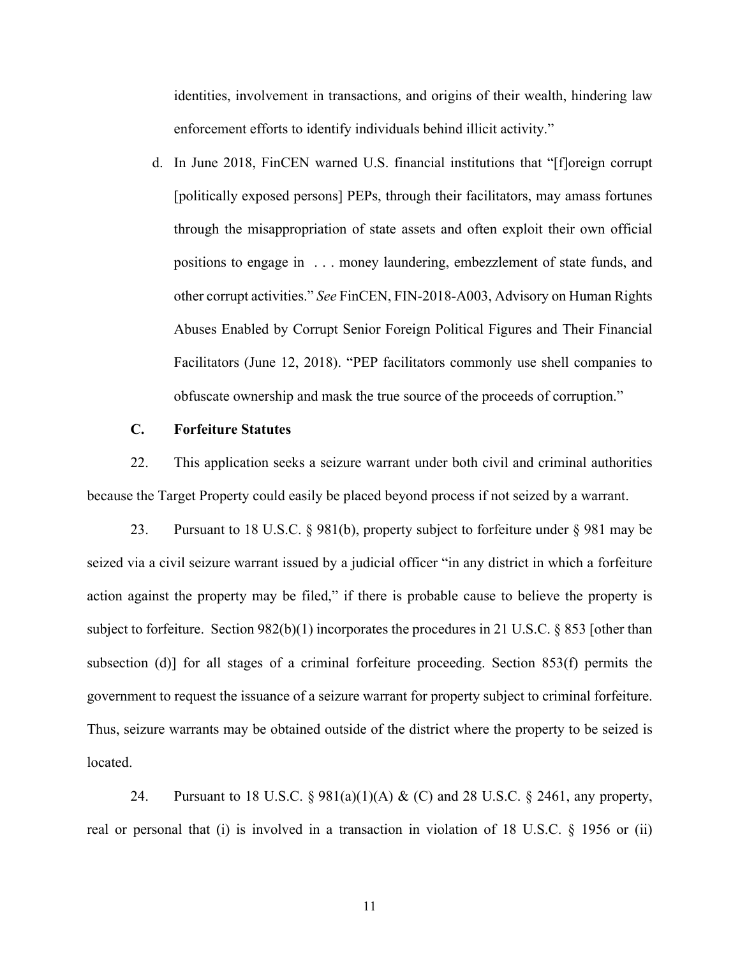identities, involvement in transactions, and origins of their wealth, hindering law enforcement efforts to identify individuals behind illicit activity."

d. In June 2018, FinCEN warned U.S. financial institutions that "[f]oreign corrupt [politically exposed persons] PEPs, through their facilitators, may amass fortunes through the misappropriation of state assets and often exploit their own official positions to engage in . . . money laundering, embezzlement of state funds, and other corrupt activities." *See* FinCEN, FIN-2018-A003, Advisory on Human Rights Abuses Enabled by Corrupt Senior Foreign Political Figures and Their Financial Facilitators (June 12, 2018). "PEP facilitators commonly use shell companies to obfuscate ownership and mask the true source of the proceeds of corruption."

#### **C. Forfeiture Statutes**

22. This application seeks a seizure warrant under both civil and criminal authorities because the Target Property could easily be placed beyond process if not seized by a warrant.

23. Pursuant to 18 U.S.C. § 981(b), property subject to forfeiture under § 981 may be seized via a civil seizure warrant issued by a judicial officer "in any district in which a forfeiture action against the property may be filed," if there is probable cause to believe the property is subject to forfeiture. Section 982(b)(1) incorporates the procedures in 21 U.S.C. § 853 [other than subsection (d)] for all stages of a criminal forfeiture proceeding. Section 853(f) permits the government to request the issuance of a seizure warrant for property subject to criminal forfeiture. Thus, seizure warrants may be obtained outside of the district where the property to be seized is located.

24. Pursuant to 18 U.S.C. § 981(a)(1)(A) & (C) and 28 U.S.C. § 2461, any property, real or personal that (i) is involved in a transaction in violation of 18 U.S.C.  $\S$  1956 or (ii)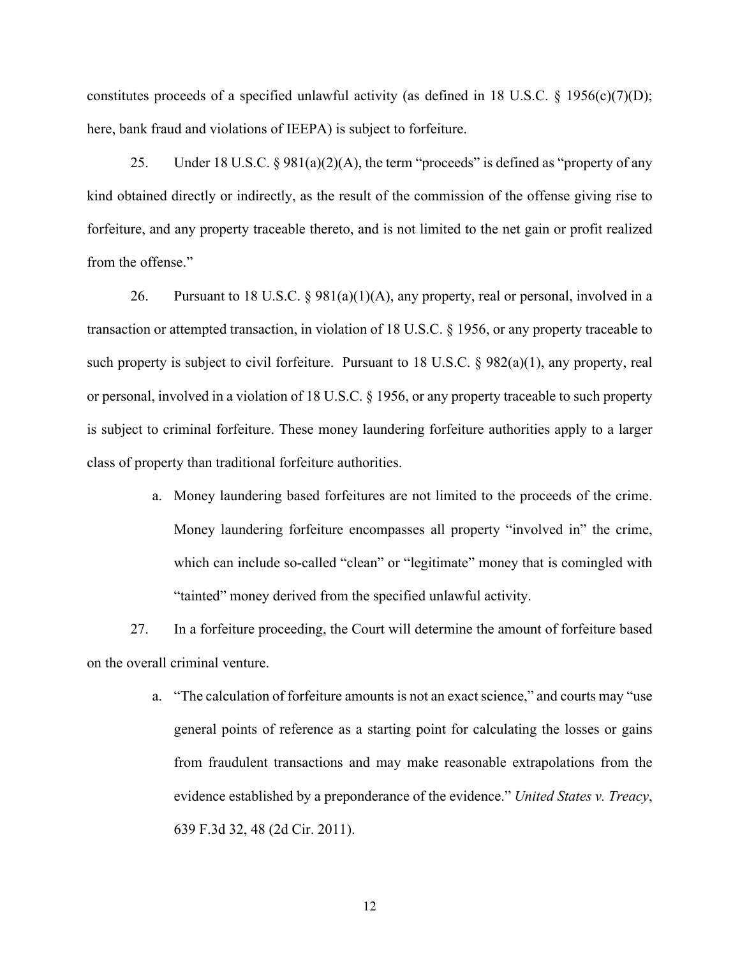constitutes proceeds of a specified unlawful activity (as defined in 18 U.S.C.  $\S$  1956(c)(7)(D); here, bank fraud and violations of IEEPA) is subject to forfeiture.

25. Under 18 U.S.C.  $\S 981(a)(2)(A)$ , the term "proceeds" is defined as "property of any kind obtained directly or indirectly, as the result of the commission of the offense giving rise to forfeiture, and any property traceable thereto, and is not limited to the net gain or profit realized from the offense."

26. Pursuant to 18 U.S.C. §  $981(a)(1)(A)$ , any property, real or personal, involved in a transaction or attempted transaction, in violation of 18 U.S.C. § 1956, or any property traceable to such property is subject to civil forfeiture. Pursuant to 18 U.S.C. § 982(a)(1), any property, real or personal, involved in a violation of 18 U.S.C. § 1956, or any property traceable to such property is subject to criminal forfeiture. These money laundering forfeiture authorities apply to a larger class of property than traditional forfeiture authorities.

> a. Money laundering based forfeitures are not limited to the proceeds of the crime. Money laundering forfeiture encompasses all property "involved in" the crime, which can include so-called "clean" or "legitimate" money that is comingled with "tainted" money derived from the specified unlawful activity.

27. In a forfeiture proceeding, the Court will determine the amount of forfeiture based on the overall criminal venture.

> a. "The calculation of forfeiture amounts is not an exact science," and courts may "use general points of reference as a starting point for calculating the losses or gains from fraudulent transactions and may make reasonable extrapolations from the evidence established by a preponderance of the evidence." *United States v. Treacy*, 639 F.3d 32, 48 (2d Cir. 2011).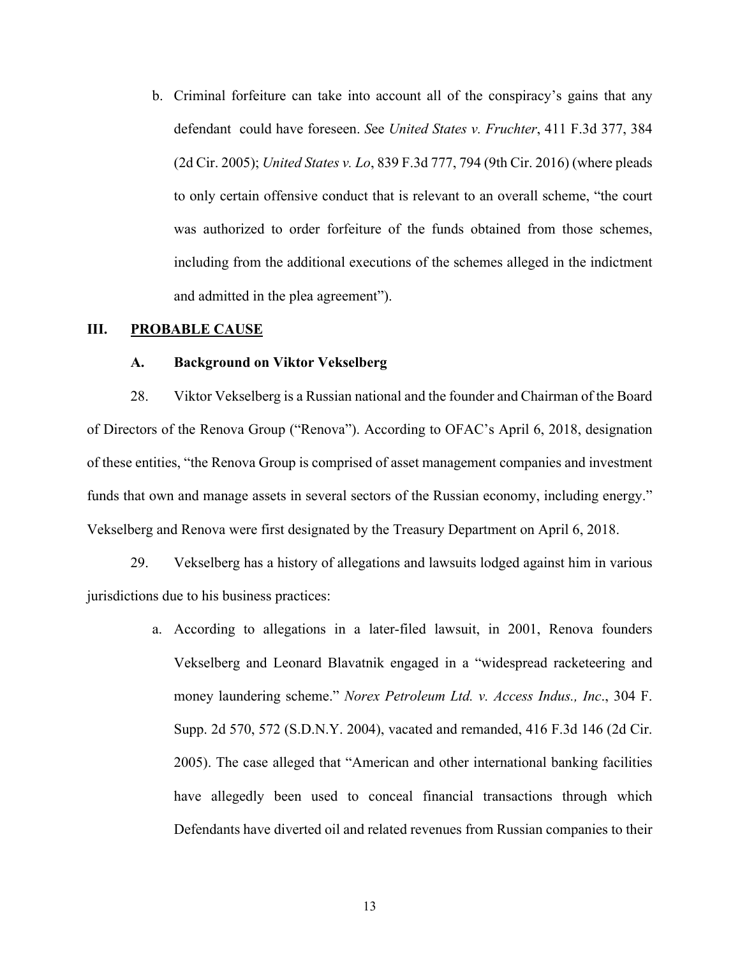b. Criminal forfeiture can take into account all of the conspiracy's gains that any defendant could have foreseen. *S*ee *United States v. Fruchter*, 411 F.3d 377, 384 (2d Cir. 2005); *United States v. Lo*, 839 F.3d 777, 794 (9th Cir. 2016) (where pleads to only certain offensive conduct that is relevant to an overall scheme, "the court was authorized to order forfeiture of the funds obtained from those schemes, including from the additional executions of the schemes alleged in the indictment and admitted in the plea agreement").

#### **III. PROBABLE CAUSE**

#### **A. Background on Viktor Vekselberg**

28. Viktor Vekselberg is a Russian national and the founder and Chairman of the Board of Directors of the Renova Group ("Renova"). According to OFAC's April 6, 2018, designation of these entities, "the Renova Group is comprised of asset management companies and investment funds that own and manage assets in several sectors of the Russian economy, including energy." Vekselberg and Renova were first designated by the Treasury Department on April 6, 2018.

29. Vekselberg has a history of allegations and lawsuits lodged against him in various jurisdictions due to his business practices:

> a. According to allegations in a later-filed lawsuit, in 2001, Renova founders Vekselberg and Leonard Blavatnik engaged in a "widespread racketeering and money laundering scheme." *Norex Petroleum Ltd. v. Access Indus., Inc*., 304 F. Supp. 2d 570, 572 (S.D.N.Y. 2004), vacated and remanded, 416 F.3d 146 (2d Cir. 2005). The case alleged that "American and other international banking facilities have allegedly been used to conceal financial transactions through which Defendants have diverted oil and related revenues from Russian companies to their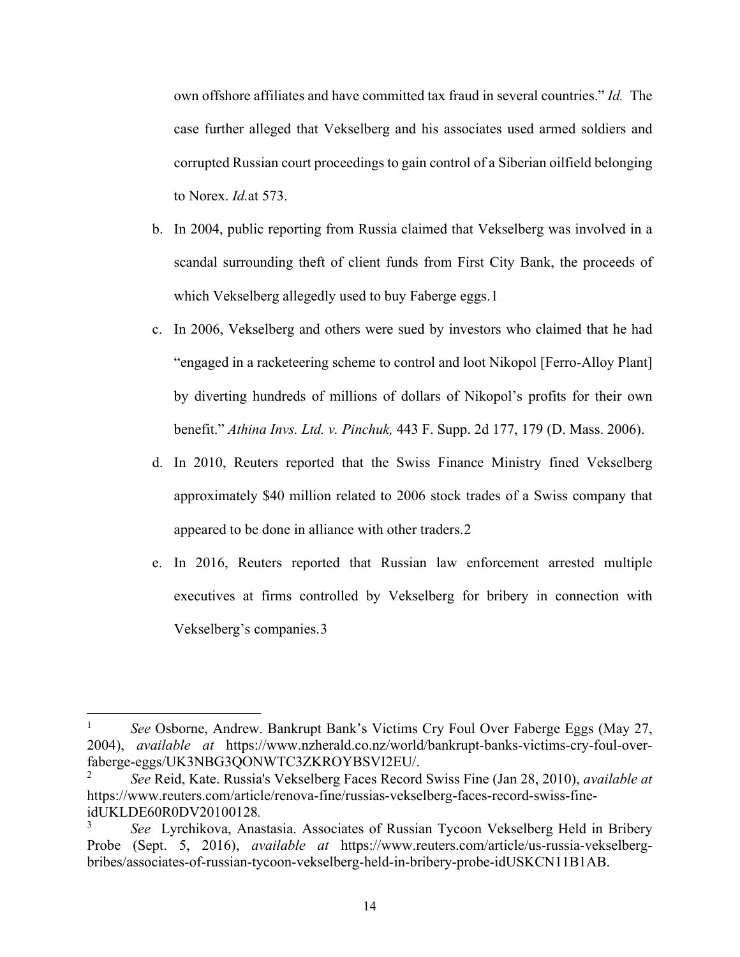own offshore affiliates and have committed tax fraud in several countries." *Id.* The case further alleged that Vekselberg and his associates used armed soldiers and corrupted Russian court proceedings to gain control of a Siberian oilfield belonging to Norex. *Id.*at 573.

- b. In 2004, public reporting from Russia claimed that Vekselberg was involved in a scandal surrounding theft of client funds from First City Bank, the proceeds of which Vekselberg allegedly used to buy Faberge eggs.[1](#page-16-0)
- c. In 2006, Vekselberg and others were sued by investors who claimed that he had "engaged in a racketeering scheme to control and loot Nikopol [Ferro-Alloy Plant] by diverting hundreds of millions of dollars of Nikopol's profits for their own benefit." *Athina Invs. Ltd. v. Pinchuk,* 443 F. Supp. 2d 177, 179 (D. Mass. 2006).
- d. In 2010, Reuters reported that the Swiss Finance Ministry fined Vekselberg approximately \$40 million related to 2006 stock trades of a Swiss company that appeared to be done in alliance with other traders.[2](#page-16-1)
- e. In 2016, Reuters reported that Russian law enforcement arrested multiple executives at firms controlled by Vekselberg for bribery in connection with Vekselberg's companies.[3](#page-16-2)

<span id="page-16-0"></span><sup>&</sup>lt;sup>1</sup> See Osborne, Andrew. Bankrupt Bank's Victims Cry Foul Over Faberge Eggs (May 27, 2004), *available at* https://www.nzherald.co.nz/world/bankrupt-banks-victims-cry-foul-overfaberge-eggs/UK3NBG3QONWTC3ZKROYBSVI2EU/.

<span id="page-16-1"></span><sup>2</sup> *See* Reid, Kate. Russia's Vekselberg Faces Record Swiss Fine (Jan 28, 2010), *available at*  https://www.reuters.com/article/renova-fine/russias-vekselberg-faces-record-swiss-fineidUKLDE60R0DV20100128*.*

<span id="page-16-2"></span><sup>3</sup> *See* Lyrchikova, Anastasia. Associates of Russian Tycoon Vekselberg Held in Bribery Probe (Sept. 5, 2016), *available at* https://www.reuters.com/article/us-russia-vekselbergbribes/associates-of-russian-tycoon-vekselberg-held-in-bribery-probe-idUSKCN11B1AB.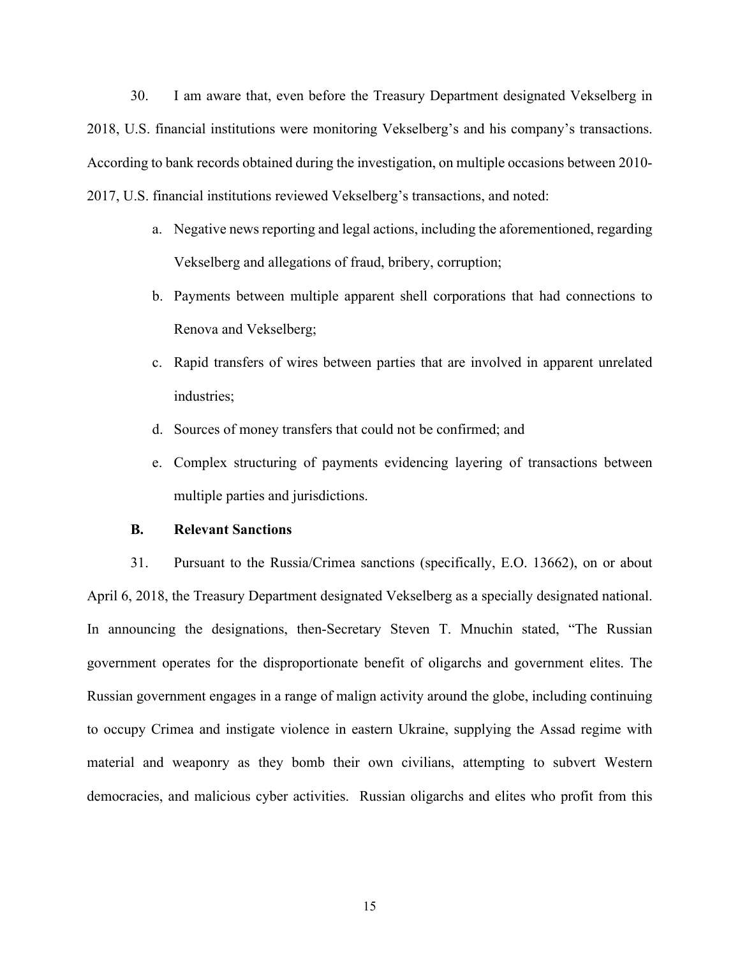30. I am aware that, even before the Treasury Department designated Vekselberg in 2018, U.S. financial institutions were monitoring Vekselberg's and his company's transactions. According to bank records obtained during the investigation, on multiple occasions between 2010- 2017, U.S. financial institutions reviewed Vekselberg's transactions, and noted:

- a. Negative news reporting and legal actions, including the aforementioned, regarding Vekselberg and allegations of fraud, bribery, corruption;
- b. Payments between multiple apparent shell corporations that had connections to Renova and Vekselberg;
- c. Rapid transfers of wires between parties that are involved in apparent unrelated industries;
- d. Sources of money transfers that could not be confirmed; and
- e. Complex structuring of payments evidencing layering of transactions between multiple parties and jurisdictions.

#### **B. Relevant Sanctions**

31. Pursuant to the Russia/Crimea sanctions (specifically, E.O. 13662), on or about April 6, 2018, the Treasury Department designated Vekselberg as a specially designated national. In announcing the designations, then-Secretary Steven T. Mnuchin stated, "The Russian government operates for the disproportionate benefit of oligarchs and government elites. The Russian government engages in a range of malign activity around the globe, including continuing to occupy Crimea and instigate violence in eastern Ukraine, supplying the Assad regime with material and weaponry as they bomb their own civilians, attempting to subvert Western democracies, and malicious cyber activities. Russian oligarchs and elites who profit from this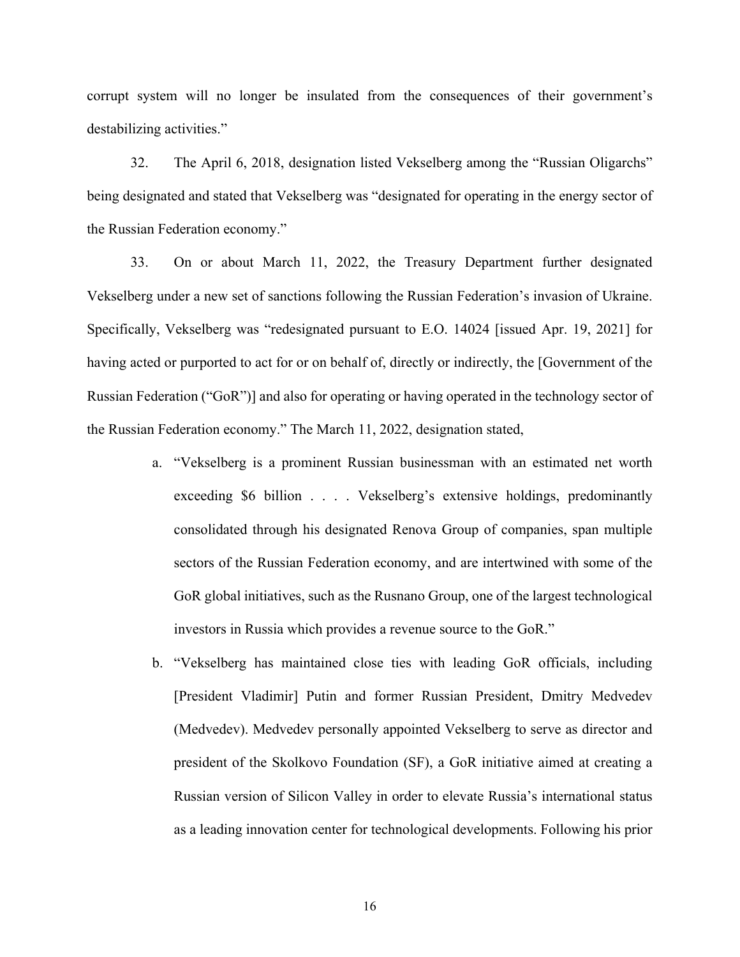corrupt system will no longer be insulated from the consequences of their government's destabilizing activities."

32. The April 6, 2018, designation listed Vekselberg among the "Russian Oligarchs" being designated and stated that Vekselberg was "designated for operating in the energy sector of the Russian Federation economy."

33. On or about March 11, 2022, the Treasury Department further designated Vekselberg under a new set of sanctions following the Russian Federation's invasion of Ukraine. Specifically, Vekselberg was "redesignated pursuant to E.O. 14024 [issued Apr. 19, 2021] for having acted or purported to act for or on behalf of, directly or indirectly, the [Government of the Russian Federation ("GoR")] and also for operating or having operated in the technology sector of the Russian Federation economy." The March 11, 2022, designation stated,

- a. "Vekselberg is a prominent Russian businessman with an estimated net worth exceeding \$6 billion . . . . Vekselberg's extensive holdings, predominantly consolidated through his designated Renova Group of companies, span multiple sectors of the Russian Federation economy, and are intertwined with some of the GoR global initiatives, such as the Rusnano Group, one of the largest technological investors in Russia which provides a revenue source to the GoR."
- b. "Vekselberg has maintained close ties with leading GoR officials, including [President Vladimir] Putin and former Russian President, Dmitry Medvedev (Medvedev). Medvedev personally appointed Vekselberg to serve as director and president of the Skolkovo Foundation (SF), a GoR initiative aimed at creating a Russian version of Silicon Valley in order to elevate Russia's international status as a leading innovation center for technological developments. Following his prior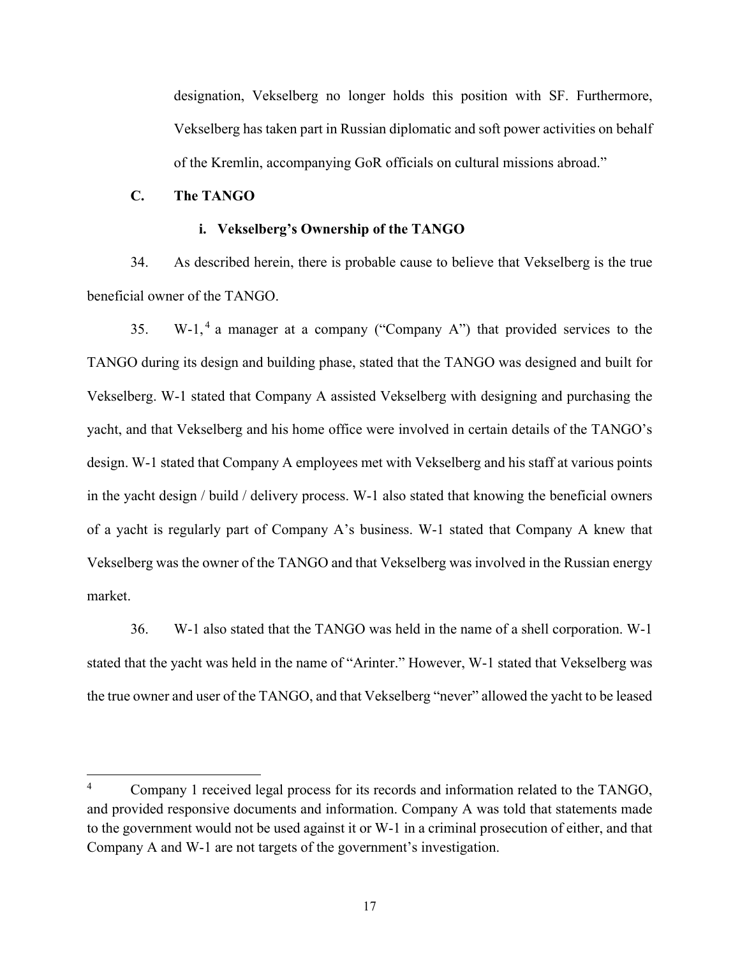designation, Vekselberg no longer holds this position with SF. Furthermore, Vekselberg has taken part in Russian diplomatic and soft power activities on behalf of the Kremlin, accompanying GoR officials on cultural missions abroad."

## **C. The TANGO**

#### **i. Vekselberg's Ownership of the TANGO**

34. As described herein, there is probable cause to believe that Vekselberg is the true beneficial owner of the TANGO.

35. W-1,<sup>[4](#page-19-0)</sup> a manager at a company ("Company A") that provided services to the TANGO during its design and building phase, stated that the TANGO was designed and built for Vekselberg. W-1 stated that Company A assisted Vekselberg with designing and purchasing the yacht, and that Vekselberg and his home office were involved in certain details of the TANGO's design. W-1 stated that Company A employees met with Vekselberg and his staff at various points in the yacht design / build / delivery process. W-1 also stated that knowing the beneficial owners of a yacht is regularly part of Company A's business. W-1 stated that Company A knew that Vekselberg was the owner of the TANGO and that Vekselberg was involved in the Russian energy market.

36. W-1 also stated that the TANGO was held in the name of a shell corporation. W-1 stated that the yacht was held in the name of "Arinter." However, W-1 stated that Vekselberg was the true owner and user of the TANGO, and that Vekselberg "never" allowed the yacht to be leased

<span id="page-19-0"></span><sup>&</sup>lt;sup>4</sup> Company 1 received legal process for its records and information related to the TANGO, and provided responsive documents and information. Company A was told that statements made to the government would not be used against it or W-1 in a criminal prosecution of either, and that Company A and W-1 are not targets of the government's investigation.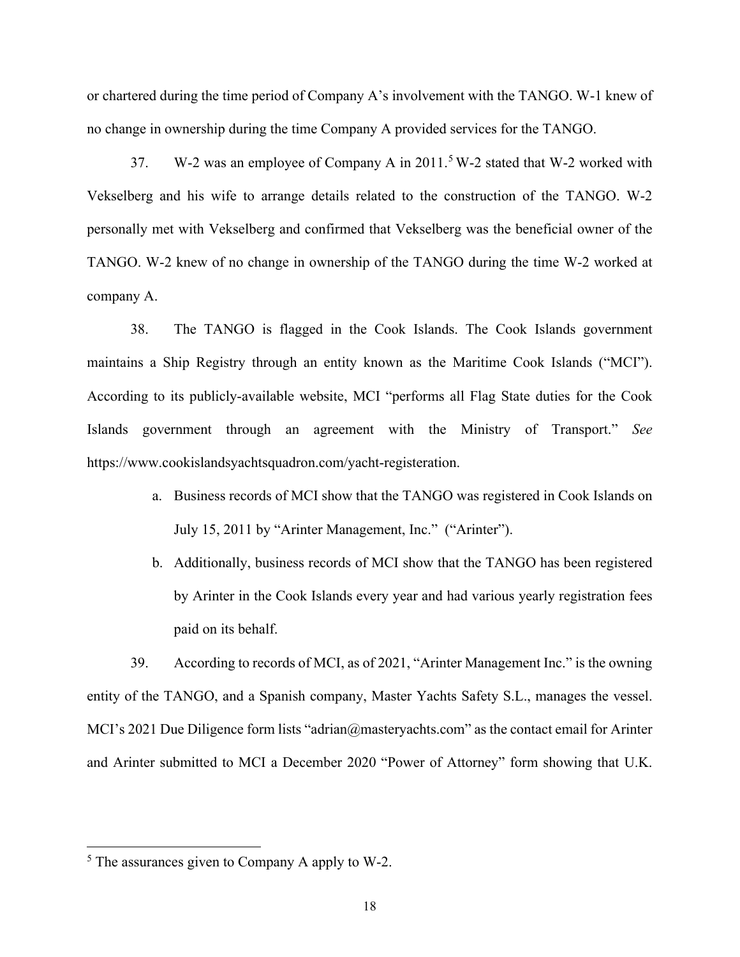or chartered during the time period of Company A's involvement with the TANGO. W-1 knew of no change in ownership during the time Company A provided services for the TANGO.

37. W-2 was an employee of Company A in  $2011.^5$  $2011.^5$  W-2 stated that W-2 worked with Vekselberg and his wife to arrange details related to the construction of the TANGO. W-2 personally met with Vekselberg and confirmed that Vekselberg was the beneficial owner of the TANGO. W-2 knew of no change in ownership of the TANGO during the time W-2 worked at company A.

38. The TANGO is flagged in the Cook Islands. The Cook Islands government maintains a Ship Registry through an entity known as the Maritime Cook Islands ("MCI"). According to its publicly-available website, MCI "performs all Flag State duties for the Cook Islands government through an agreement with the Ministry of Transport." *See* https://www.cookislandsyachtsquadron.com/yacht-registeration.

- a. Business records of MCI show that the TANGO was registered in Cook Islands on July 15, 2011 by "Arinter Management, Inc." ("Arinter").
- b. Additionally, business records of MCI show that the TANGO has been registered by Arinter in the Cook Islands every year and had various yearly registration fees paid on its behalf.

39. According to records of MCI, as of 2021, "Arinter Management Inc." is the owning entity of the TANGO, and a Spanish company, Master Yachts Safety S.L., manages the vessel. MCI's 2021 Due Diligence form lists "adrian@masteryachts.com" as the contact email for Arinter and Arinter submitted to MCI a December 2020 "Power of Attorney" form showing that U.K.

<span id="page-20-0"></span> $<sup>5</sup>$  The assurances given to Company A apply to W-2.</sup>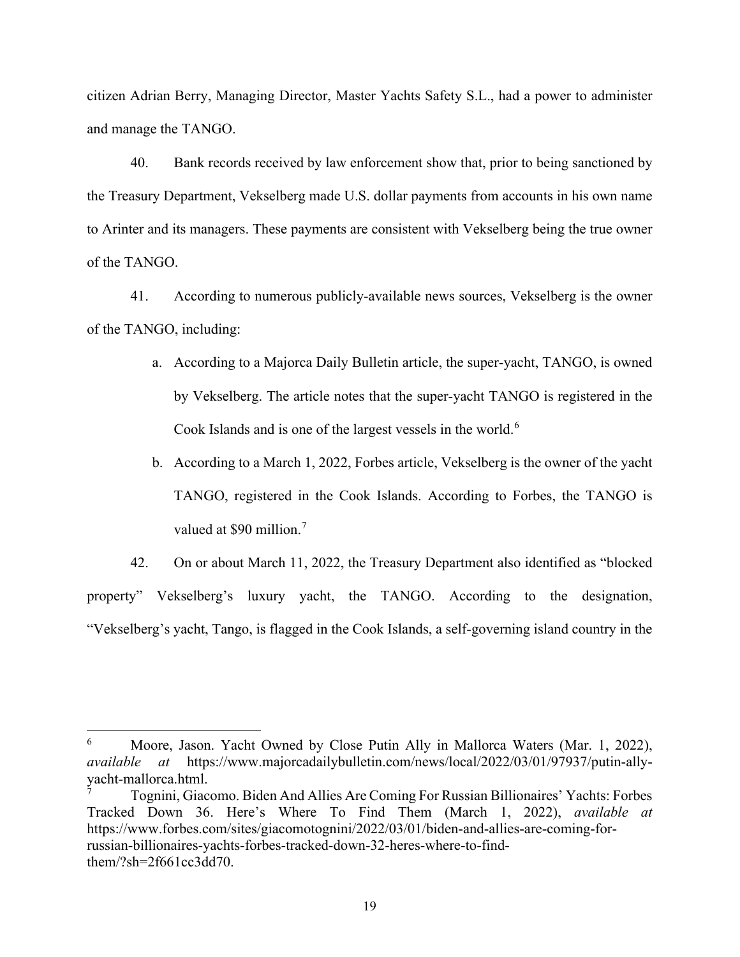citizen Adrian Berry, Managing Director, Master Yachts Safety S.L., had a power to administer and manage the TANGO.

40. Bank records received by law enforcement show that, prior to being sanctioned by the Treasury Department, Vekselberg made U.S. dollar payments from accounts in his own name to Arinter and its managers. These payments are consistent with Vekselberg being the true owner of the TANGO.

41. According to numerous publicly-available news sources, Vekselberg is the owner of the TANGO, including:

- a. According to a Majorca Daily Bulletin article, the super-yacht, TANGO, is owned by Vekselberg. The article notes that the super-yacht TANGO is registered in the Cook Islands and is one of the largest vessels in the world.<sup>[6](#page-21-0)</sup>
- b. According to a March 1, 2022, Forbes article, Vekselberg is the owner of the yacht TANGO, registered in the Cook Islands. According to Forbes, the TANGO is valued at \$90 million.<sup>[7](#page-21-1)</sup>

42. On or about March 11, 2022, the Treasury Department also identified as "blocked property" Vekselberg's luxury yacht, the TANGO. According to the designation, "Vekselberg's yacht, Tango, is flagged in the Cook Islands, a self-governing island country in the

<span id="page-21-0"></span><sup>&</sup>lt;sup>6</sup> Moore, Jason. Yacht Owned by Close Putin Ally in Mallorca Waters (Mar. 1, 2022), *available at* https://www.majorcadailybulletin.com/news/local/2022/03/01/97937/putin-allyyacht-mallorca.html.

<span id="page-21-1"></span><sup>7</sup> Tognini, Giacomo. Biden And Allies Are Coming For Russian Billionaires' Yachts: Forbes Tracked Down 36. Here's Where To Find Them (March 1, 2022), *available at* https://www.forbes.com/sites/giacomotognini/2022/03/01/biden-and-allies-are-coming-forrussian-billionaires-yachts-forbes-tracked-down-32-heres-where-to-findthem/?sh=2f661cc3dd70.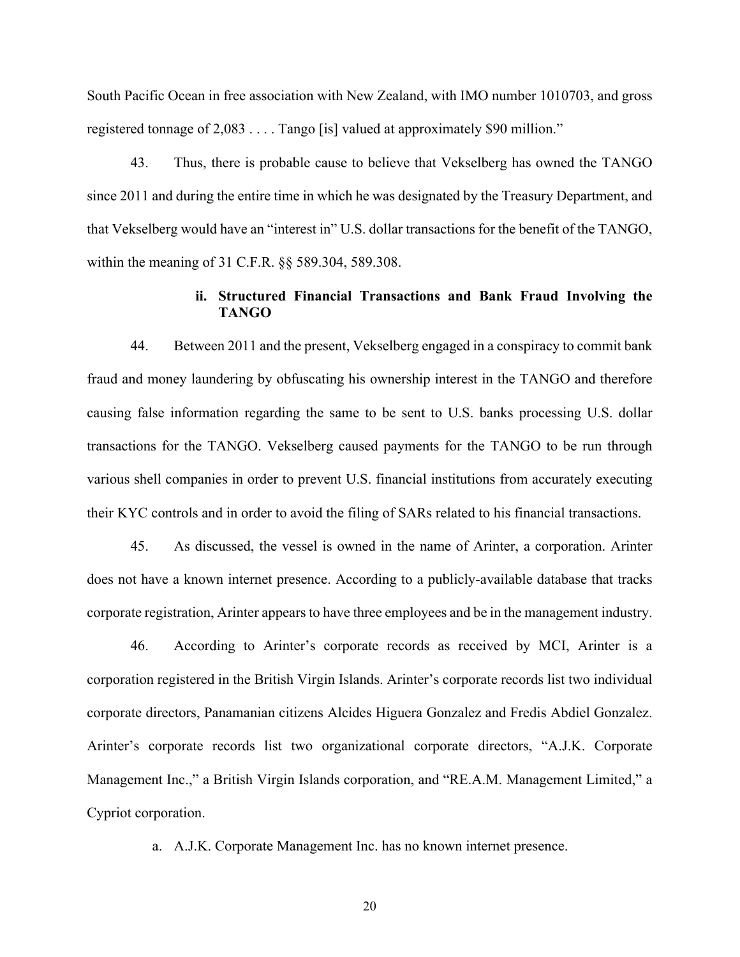South Pacific Ocean in free association with New Zealand, with IMO number 1010703, and gross registered tonnage of 2,083 . . . . Tango [is] valued at approximately \$90 million."

43. Thus, there is probable cause to believe that Vekselberg has owned the TANGO since 2011 and during the entire time in which he was designated by the Treasury Department, and that Vekselberg would have an "interest in" U.S. dollar transactions for the benefit of the TANGO, within the meaning of 31 C.F.R. §§ 589.304, 589.308.

## **ii. Structured Financial Transactions and Bank Fraud Involving the TANGO**

44. Between 2011 and the present, Vekselberg engaged in a conspiracy to commit bank fraud and money laundering by obfuscating his ownership interest in the TANGO and therefore causing false information regarding the same to be sent to U.S. banks processing U.S. dollar transactions for the TANGO. Vekselberg caused payments for the TANGO to be run through various shell companies in order to prevent U.S. financial institutions from accurately executing their KYC controls and in order to avoid the filing of SARs related to his financial transactions.

45. As discussed, the vessel is owned in the name of Arinter, a corporation. Arinter does not have a known internet presence. According to a publicly-available database that tracks corporate registration, Arinter appears to have three employees and be in the management industry.

46. According to Arinter's corporate records as received by MCI, Arinter is a corporation registered in the British Virgin Islands. Arinter's corporate records list two individual corporate directors, Panamanian citizens Alcides Higuera Gonzalez and Fredis Abdiel Gonzalez. Arinter's corporate records list two organizational corporate directors, "A.J.K. Corporate Management Inc.," a British Virgin Islands corporation, and "RE.A.M. Management Limited," a Cypriot corporation.

a. A.J.K. Corporate Management Inc. has no known internet presence.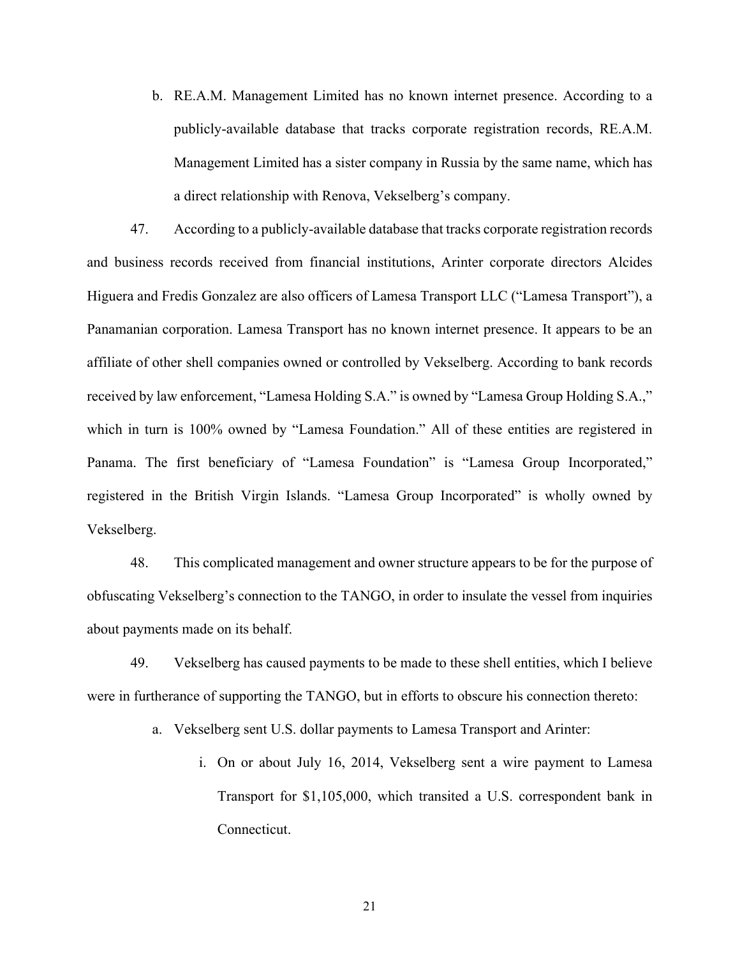b. RE.A.M. Management Limited has no known internet presence. According to a publicly-available database that tracks corporate registration records, RE.A.M. Management Limited has a sister company in Russia by the same name, which has a direct relationship with Renova, Vekselberg's company.

47. According to a publicly-available database that tracks corporate registration records and business records received from financial institutions, Arinter corporate directors Alcides Higuera and Fredis Gonzalez are also officers of Lamesa Transport LLC ("Lamesa Transport"), a Panamanian corporation. Lamesa Transport has no known internet presence. It appears to be an affiliate of other shell companies owned or controlled by Vekselberg. According to bank records received by law enforcement, "Lamesa Holding S.A." is owned by "Lamesa Group Holding S.A.," which in turn is 100% owned by "Lamesa Foundation." All of these entities are registered in Panama. The first beneficiary of "Lamesa Foundation" is "Lamesa Group Incorporated," registered in the British Virgin Islands. "Lamesa Group Incorporated" is wholly owned by Vekselberg.

48. This complicated management and owner structure appears to be for the purpose of obfuscating Vekselberg's connection to the TANGO, in order to insulate the vessel from inquiries about payments made on its behalf.

49. Vekselberg has caused payments to be made to these shell entities, which I believe were in furtherance of supporting the TANGO, but in efforts to obscure his connection thereto:

a. Vekselberg sent U.S. dollar payments to Lamesa Transport and Arinter:

i. On or about July 16, 2014, Vekselberg sent a wire payment to Lamesa Transport for \$1,105,000, which transited a U.S. correspondent bank in Connecticut.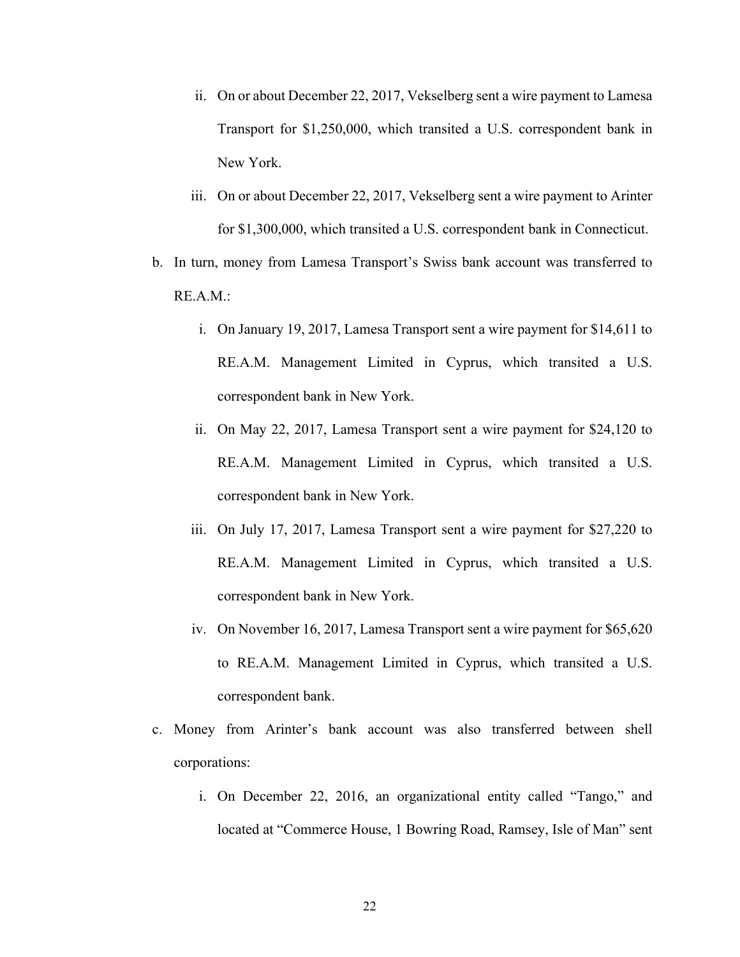- ii. On or about December 22, 2017, Vekselberg sent a wire payment to Lamesa Transport for \$1,250,000, which transited a U.S. correspondent bank in New York.
- iii. On or about December 22, 2017, Vekselberg sent a wire payment to Arinter for \$1,300,000, which transited a U.S. correspondent bank in Connecticut.
- b. In turn, money from Lamesa Transport's Swiss bank account was transferred to RE.A.M.:
	- i. On January 19, 2017, Lamesa Transport sent a wire payment for \$14,611 to RE.A.M. Management Limited in Cyprus, which transited a U.S. correspondent bank in New York.
	- ii. On May 22, 2017, Lamesa Transport sent a wire payment for \$24,120 to RE.A.M. Management Limited in Cyprus, which transited a U.S. correspondent bank in New York.
	- iii. On July 17, 2017, Lamesa Transport sent a wire payment for \$27,220 to RE.A.M. Management Limited in Cyprus, which transited a U.S. correspondent bank in New York.
	- iv. On November 16, 2017, Lamesa Transport sent a wire payment for \$65,620 to RE.A.M. Management Limited in Cyprus, which transited a U.S. correspondent bank.
- c. Money from Arinter's bank account was also transferred between shell corporations:
	- i. On December 22, 2016, an organizational entity called "Tango," and located at "Commerce House, 1 Bowring Road, Ramsey, Isle of Man" sent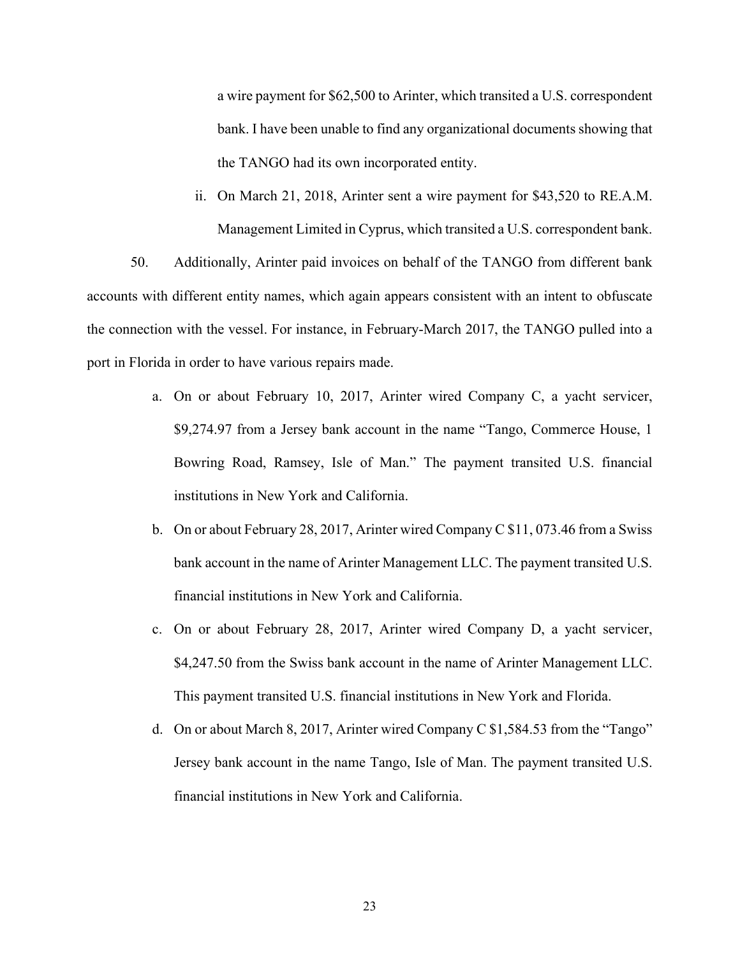a wire payment for \$62,500 to Arinter, which transited a U.S. correspondent bank. I have been unable to find any organizational documents showing that the TANGO had its own incorporated entity.

ii. On March 21, 2018, Arinter sent a wire payment for \$43,520 to RE.A.M. Management Limited in Cyprus, which transited a U.S. correspondent bank.

50. Additionally, Arinter paid invoices on behalf of the TANGO from different bank accounts with different entity names, which again appears consistent with an intent to obfuscate the connection with the vessel. For instance, in February-March 2017, the TANGO pulled into a port in Florida in order to have various repairs made.

- a. On or about February 10, 2017, Arinter wired Company C, a yacht servicer, \$9,274.97 from a Jersey bank account in the name "Tango, Commerce House, 1 Bowring Road, Ramsey, Isle of Man." The payment transited U.S. financial institutions in New York and California.
- b. On or about February 28, 2017, Arinter wired Company C \$11, 073.46 from a Swiss bank account in the name of Arinter Management LLC. The payment transited U.S. financial institutions in New York and California.
- c. On or about February 28, 2017, Arinter wired Company D, a yacht servicer, \$4,247.50 from the Swiss bank account in the name of Arinter Management LLC. This payment transited U.S. financial institutions in New York and Florida.
- d. On or about March 8, 2017, Arinter wired Company C \$1,584.53 from the "Tango" Jersey bank account in the name Tango, Isle of Man. The payment transited U.S. financial institutions in New York and California.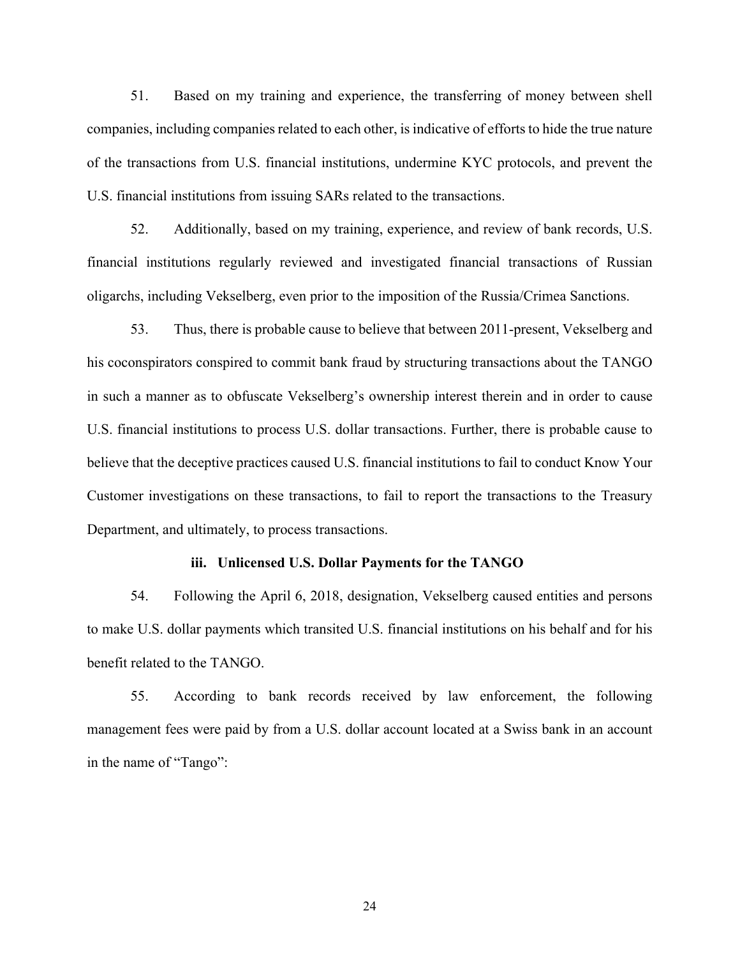51. Based on my training and experience, the transferring of money between shell companies, including companies related to each other, is indicative of efforts to hide the true nature of the transactions from U.S. financial institutions, undermine KYC protocols, and prevent the U.S. financial institutions from issuing SARs related to the transactions.

52. Additionally, based on my training, experience, and review of bank records, U.S. financial institutions regularly reviewed and investigated financial transactions of Russian oligarchs, including Vekselberg, even prior to the imposition of the Russia/Crimea Sanctions.

53. Thus, there is probable cause to believe that between 2011-present, Vekselberg and his coconspirators conspired to commit bank fraud by structuring transactions about the TANGO in such a manner as to obfuscate Vekselberg's ownership interest therein and in order to cause U.S. financial institutions to process U.S. dollar transactions. Further, there is probable cause to believe that the deceptive practices caused U.S. financial institutions to fail to conduct Know Your Customer investigations on these transactions, to fail to report the transactions to the Treasury Department, and ultimately, to process transactions.

#### **iii. Unlicensed U.S. Dollar Payments for the TANGO**

54. Following the April 6, 2018, designation, Vekselberg caused entities and persons to make U.S. dollar payments which transited U.S. financial institutions on his behalf and for his benefit related to the TANGO.

55. According to bank records received by law enforcement, the following management fees were paid by from a U.S. dollar account located at a Swiss bank in an account in the name of "Tango":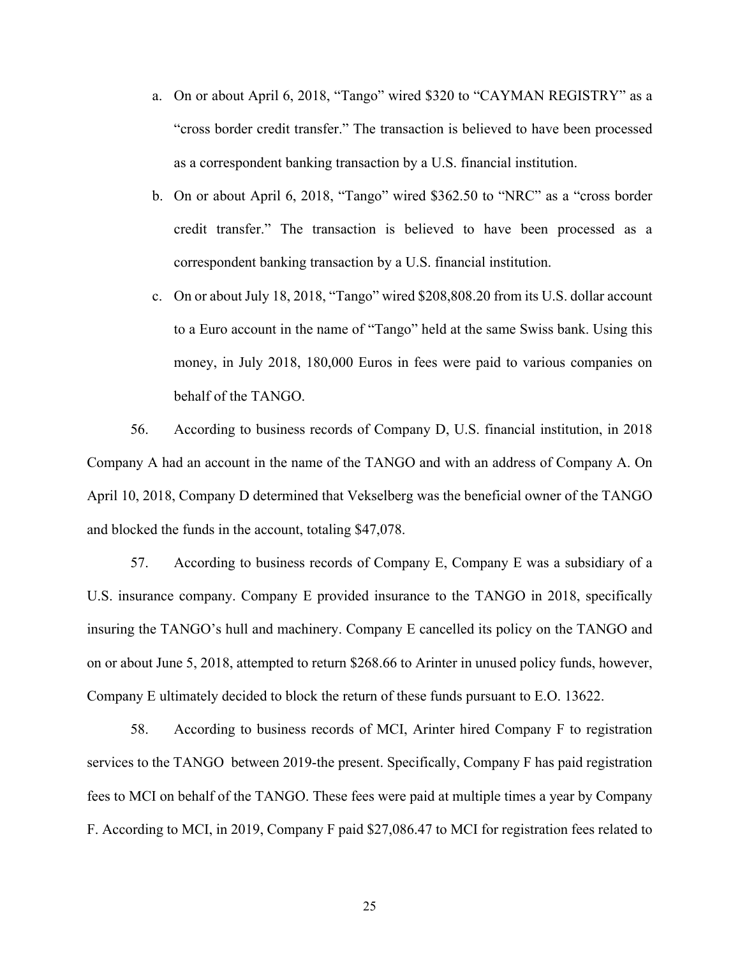- a. On or about April 6, 2018, "Tango" wired \$320 to "CAYMAN REGISTRY" as a "cross border credit transfer." The transaction is believed to have been processed as a correspondent banking transaction by a U.S. financial institution.
- b. On or about April 6, 2018, "Tango" wired \$362.50 to "NRC" as a "cross border credit transfer." The transaction is believed to have been processed as a correspondent banking transaction by a U.S. financial institution.
- c. On or about July 18, 2018, "Tango" wired \$208,808.20 from its U.S. dollar account to a Euro account in the name of "Tango" held at the same Swiss bank. Using this money, in July 2018, 180,000 Euros in fees were paid to various companies on behalf of the TANGO.

56. According to business records of Company D, U.S. financial institution, in 2018 Company A had an account in the name of the TANGO and with an address of Company A. On April 10, 2018, Company D determined that Vekselberg was the beneficial owner of the TANGO and blocked the funds in the account, totaling \$47,078.

57. According to business records of Company E, Company E was a subsidiary of a U.S. insurance company. Company E provided insurance to the TANGO in 2018, specifically insuring the TANGO's hull and machinery. Company E cancelled its policy on the TANGO and on or about June 5, 2018, attempted to return \$268.66 to Arinter in unused policy funds, however, Company E ultimately decided to block the return of these funds pursuant to E.O. 13622.

58. According to business records of MCI, Arinter hired Company F to registration services to the TANGO between 2019-the present. Specifically, Company F has paid registration fees to MCI on behalf of the TANGO. These fees were paid at multiple times a year by Company F. According to MCI, in 2019, Company F paid \$27,086.47 to MCI for registration fees related to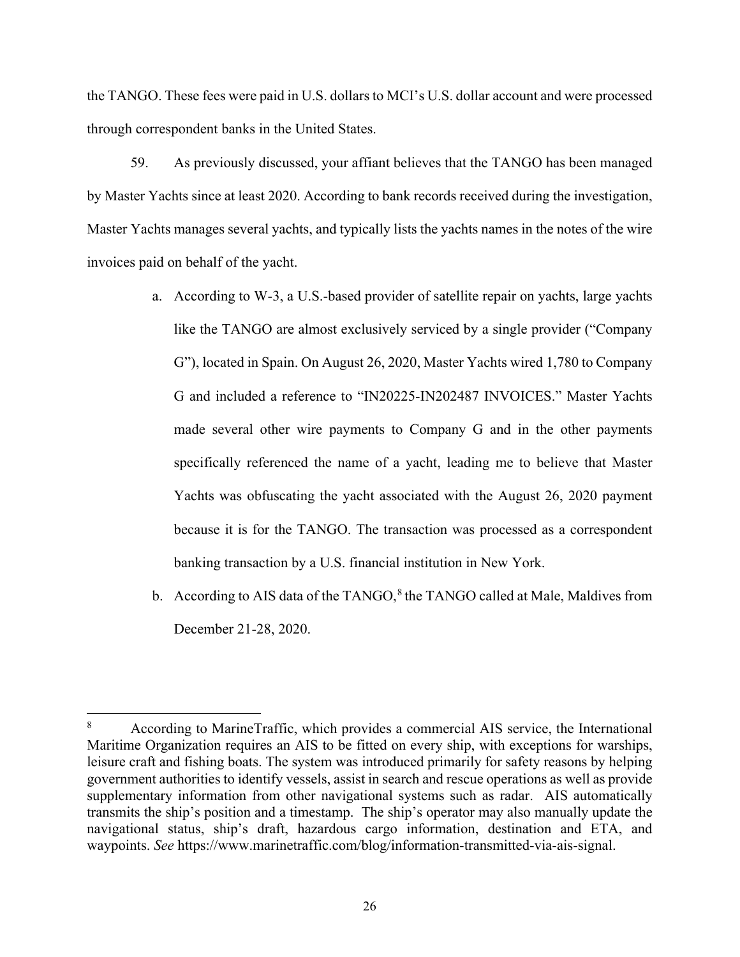the TANGO. These fees were paid in U.S. dollars to MCI's U.S. dollar account and were processed through correspondent banks in the United States.

59. As previously discussed, your affiant believes that the TANGO has been managed by Master Yachts since at least 2020. According to bank records received during the investigation, Master Yachts manages several yachts, and typically lists the yachts names in the notes of the wire invoices paid on behalf of the yacht.

- a. According to W-3, a U.S.-based provider of satellite repair on yachts, large yachts like the TANGO are almost exclusively serviced by a single provider ("Company G"), located in Spain. On August 26, 2020, Master Yachts wired 1,780 to Company G and included a reference to "IN20225-IN202487 INVOICES." Master Yachts made several other wire payments to Company G and in the other payments specifically referenced the name of a yacht, leading me to believe that Master Yachts was obfuscating the yacht associated with the August 26, 2020 payment because it is for the TANGO. The transaction was processed as a correspondent banking transaction by a U.S. financial institution in New York.
- b. According to AIS data of the TANGO, $8$  the TANGO called at Male, Maldives from December 21-28, 2020.

<span id="page-28-0"></span><sup>8</sup> According to MarineTraffic, which provides a commercial AIS service, the International Maritime Organization requires an AIS to be fitted on every ship, with exceptions for warships, leisure craft and fishing boats. The system was introduced primarily for safety reasons by helping government authorities to identify vessels, assist in search and rescue operations as well as provide supplementary information from other navigational systems such as radar. AIS automatically transmits the ship's position and a timestamp. The ship's operator may also manually update the navigational status, ship's draft, hazardous cargo information, destination and ETA, and waypoints. *See* https://www.marinetraffic.com/blog/information-transmitted-via-ais-signal.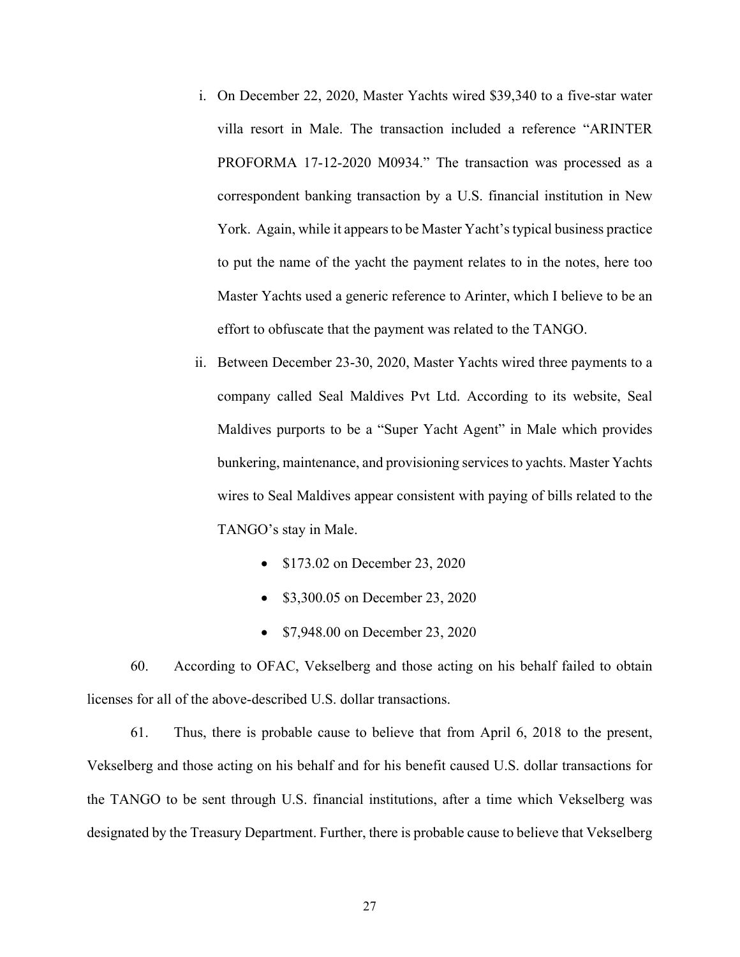- i. On December 22, 2020, Master Yachts wired \$39,340 to a five-star water villa resort in Male. The transaction included a reference "ARINTER PROFORMA 17-12-2020 M0934." The transaction was processed as a correspondent banking transaction by a U.S. financial institution in New York. Again, while it appears to be Master Yacht's typical business practice to put the name of the yacht the payment relates to in the notes, here too Master Yachts used a generic reference to Arinter, which I believe to be an effort to obfuscate that the payment was related to the TANGO.
- ii. Between December 23-30, 2020, Master Yachts wired three payments to a company called Seal Maldives Pvt Ltd. According to its website, Seal Maldives purports to be a "Super Yacht Agent" in Male which provides bunkering, maintenance, and provisioning services to yachts. Master Yachts wires to Seal Maldives appear consistent with paying of bills related to the TANGO's stay in Male.
	- \$173.02 on December 23, 2020
	- \$3,300.05 on December 23, 2020
	- \$7,948.00 on December 23, 2020

60. According to OFAC, Vekselberg and those acting on his behalf failed to obtain licenses for all of the above-described U.S. dollar transactions.

61. Thus, there is probable cause to believe that from April 6, 2018 to the present, Vekselberg and those acting on his behalf and for his benefit caused U.S. dollar transactions for the TANGO to be sent through U.S. financial institutions, after a time which Vekselberg was designated by the Treasury Department. Further, there is probable cause to believe that Vekselberg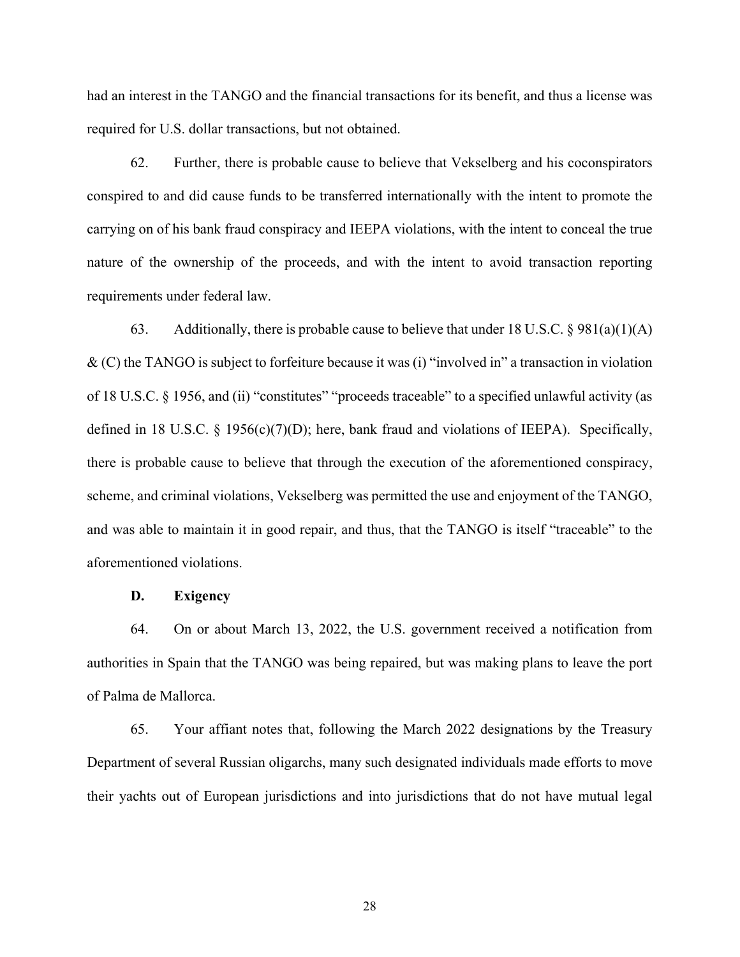had an interest in the TANGO and the financial transactions for its benefit, and thus a license was required for U.S. dollar transactions, but not obtained.

62. Further, there is probable cause to believe that Vekselberg and his coconspirators conspired to and did cause funds to be transferred internationally with the intent to promote the carrying on of his bank fraud conspiracy and IEEPA violations, with the intent to conceal the true nature of the ownership of the proceeds, and with the intent to avoid transaction reporting requirements under federal law.

63. Additionally, there is probable cause to believe that under 18 U.S.C.  $\S 981(a)(1)(A)$ & (C) the TANGO is subject to forfeiture because it was (i) "involved in" a transaction in violation of 18 U.S.C. § 1956, and (ii) "constitutes" "proceeds traceable" to a specified unlawful activity (as defined in 18 U.S.C. § 1956(c)(7)(D); here, bank fraud and violations of IEEPA). Specifically, there is probable cause to believe that through the execution of the aforementioned conspiracy, scheme, and criminal violations, Vekselberg was permitted the use and enjoyment of the TANGO, and was able to maintain it in good repair, and thus, that the TANGO is itself "traceable" to the aforementioned violations.

## **D. Exigency**

64. On or about March 13, 2022, the U.S. government received a notification from authorities in Spain that the TANGO was being repaired, but was making plans to leave the port of Palma de Mallorca.

65. Your affiant notes that, following the March 2022 designations by the Treasury Department of several Russian oligarchs, many such designated individuals made efforts to move their yachts out of European jurisdictions and into jurisdictions that do not have mutual legal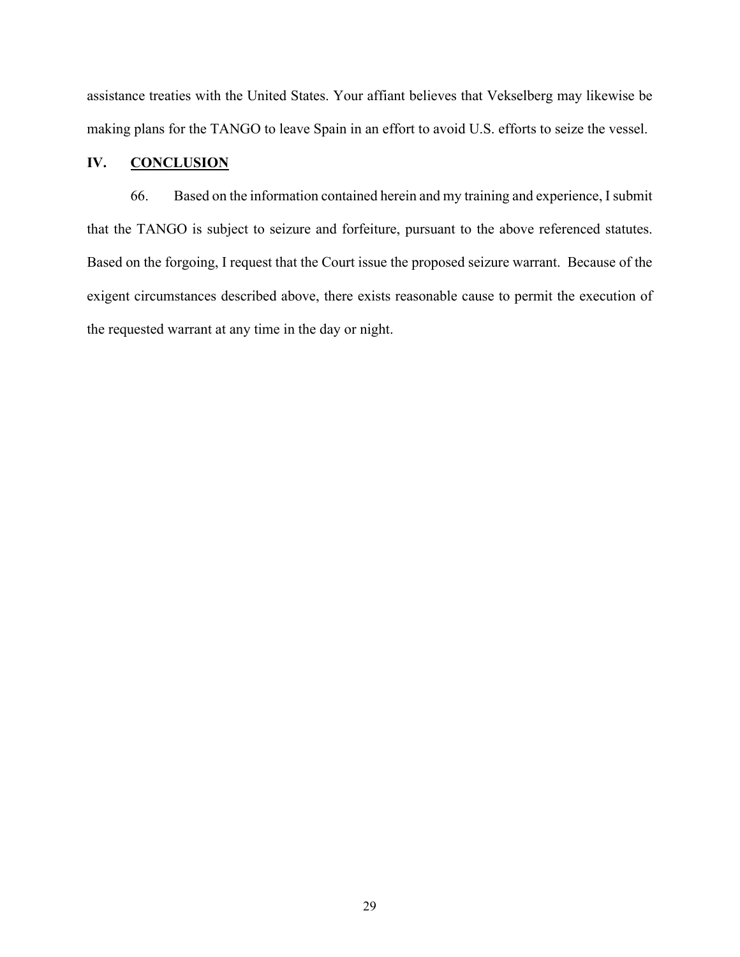assistance treaties with the United States. Your affiant believes that Vekselberg may likewise be making plans for the TANGO to leave Spain in an effort to avoid U.S. efforts to seize the vessel.

## **IV. CONCLUSION**

66. Based on the information contained herein and my training and experience, I submit that the TANGO is subject to seizure and forfeiture, pursuant to the above referenced statutes. Based on the forgoing, I request that the Court issue the proposed seizure warrant. Because of the exigent circumstances described above, there exists reasonable cause to permit the execution of the requested warrant at any time in the day or night.